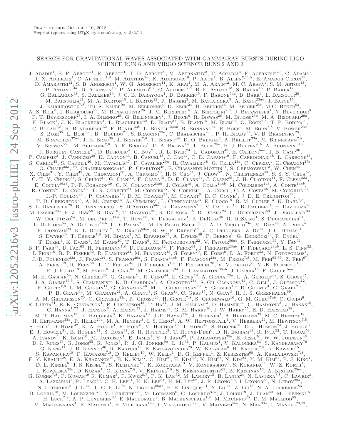# SEARCH FOR GRAVITATIONAL WAVES ASSOCIATED WITH GAMMA-RAY BURSTS DURING LIGO SCIENCE RUN 6 AND VIRGO SCIENCE RUNS 2 AND 3

J. ABADIE<sup>1</sup>, B. P. ABBOTT<sup>1</sup>, R. ABBOTT<sup>1</sup>, T. D. ABBOTT<sup>2</sup>, M. ABERNATHY<sup>3</sup>, T. ACCADIA<sup>4</sup>, F. ACERNESE<sup>5ac</sup>, C. ADAMS<sup>6</sup>, R. X. ADHIKARI<sup>1</sup>, C. AFFELDT<sup>7,8</sup>, M. AGATHOS<sup>9a</sup>, K. AGATSUMA<sup>10</sup>, P. AJITH<sup>1</sup>, B. ALLEN<sup>7,11,</sup> M. BARSUGLIA<sup>21</sup>, M. A. BARTON<sup>15</sup>, I. BARTOS<sup>22</sup>, R. BASSIRI<sup>3</sup>, M. BASTARRIKA<sup>3</sup>, A. BASTI<sup>23ab</sup>, J. BATCH<sup>15</sup>,<br>J. BAUCHROWITZ<sup>7,8</sup>, TH. S. BAUER<sup>9a</sup>, M. BEBRONNE<sup>4</sup>, D. BECK<sup>24</sup>, B. BEHNKE<sup>16</sup>, M. BEJGER<sup>25c</sup>, M.G. BEK C. BOGAN<sup>7,8</sup>, R. BONDARESCU<sup>32</sup>, F. BONDU<sup>33b</sup>, L. BONELLI<sup>23ab</sup>, R. BONNAND<sup>34</sup>, R. BORK<sup>1</sup>, M. BORN<sup>7,8</sup>, V. BOSCHI<sup>23a</sup>, S. BOSCHI<sup>23a</sup>, S. BOSCHI<sup>23a</sup>, P. R. BRADY<sup>11</sup>, V. B. BRAGINSKY<sup>28</sup>, M. BRANCHESI<sup>37ab</sup>, J. E. BRAU<sup>38</sup>, J. BREYER<sup>7,8</sup>, T. BRIANT<sup>39</sup>, D. O. BRIDGES<sup>6</sup>, A. BRILLET<sup>33a</sup>, M. BRINKMANN<sup>7,8</sup>, V. BRISSON<sup>29a</sup>, M. BRITZGER<sup>7,8</sup>, A. F. BROOKS<sup>1</sup>, D. A. BROWN<sup>19</sup>, T. BULIK<sup>25b</sup>, H. J. BULTEN<sup>9ab</sup>, A. BUONANNO<sup>40</sup>, J. BURGUET–CASTELL<sup>41</sup>, D. BUSKULIC<sup>4</sup>, C. BUY<sup>21</sup>, R. L. BYER<sup>24</sup>, L. CADONATI<sup>42</sup>, E. CALLONI<sup>5ab</sup>, J. B. CAMP<sup>30</sup>, P. CAMP<sup>30</sup>, J. CANDIZZO<sup>30</sup>, K. CANNON<sup>43</sup>, B. CANUEL<sup>18</sup>, J. CAO<sup>44</sup>, C. D. CAPANO<sup>19</sup>, F. CARBOGNANI<sup></sup> S. CARIDE<sup>45</sup>, S. CAUDILL<sup>46</sup>, M. CAVAGLIÀ<sup>47</sup>, F. CAVALIER<sup>29a</sup>, R. CAVALIERI<sup>18</sup>, G. CELLA<sup>23a</sup>, C. CEPEDA<sup>1</sup>, E. CESARINI<sup>376</sup>, O. CHAIBI<sup>33a</sup>, T. CHALERMSONGSAK<sup>1</sup>, P. CHARLTON<sup>48</sup>, E. CHASSANDE-MOTTIN<sup>21</sup>, S. CHELKOW E. COCCIA<sup>56ab</sup>, P.-F. COHADON<sup>39</sup>, C. N. COLACINO<sup>23ab</sup>, J. COLAS<sup>18</sup>, A. COLLA<sup>14ab</sup>, M. COLOMBINI<sup>14b</sup>, A. CONTE<sup>14ab</sup>, R. CONTE<sup>14ab</sup>, T. R. CORBITT<sup>20</sup>, M. CORDIER<sup>27</sup>, N. CORNISH<sup>17</sup>, A. CORSI<sup>1</sup>, C. A. COSTA<sup>46</sup>, M M. DAVIER<sup>29a</sup>, E. J. DAW<sup>58</sup>, R. DAY<sup>18</sup>, T. DAYANGA<sup>35</sup>, R. DE ROSA<sup>5ab</sup>, D. DEBRA<sup>24</sup>, G. DEBRECZENI<sup>59</sup>, J. DEGALLAIX<sup>34</sup>, W. DEL POZZO<sup>9a</sup>, M. DEL PRETE<sup>60b</sup>, T. DENT<sup>55</sup>, V. DERGACHEV<sup>1</sup>, R. DEROSA<sup>46</sup>, R. DESALVO<sup>1</sup>, S. DHURANDHAR<sup>61</sup>, L. DI FIORE<sup>5a</sup>, A. DI LIETO<sup>23ab</sup>, I. DI PALMA<sup>7,8</sup>, M. DI PAOLO EMILIO<sup>56ac</sup>, A. DI VIRGILIO<sup>23a</sup>, M. DÍAZ<sup>26</sup>, A. DIETZ<sup>4</sup>, F. DONOVAN<sup>20</sup>, K. L. DOOLEY<sup>12</sup>, M. DRAGO<sup>60ab</sup>, R. W. P. DREVER<sup>62</sup>, J. C. DRIGGERS<sup>1</sup>, Z. DU<sup>44</sup>, J.-C. DUMAS<sup>31</sup>, S. DWYER<sup>20</sup>, T. EBERLE<sup>7,8</sup>, M. EDGAR<sup>3</sup>, M. EDWARDS<sup>55</sup>, A. EFFLER<sup>46</sup>, P. EHRENS<sup>1</sup>, G. ENDRŐCZI<sup>59</sup> T. ETZEL<sup>1</sup>, K. EVANS<sup>3</sup>, M. EVANS<sup>20</sup>, T. EVANS<sup>6</sup>, M. FACTOUROVICH<sup>22</sup>, V. FAFONE<sup>56ab</sup>, S. FAIRHURST<sup>55</sup>, Y. FAN<sup>31</sup>, B. F. FARR<sup>63</sup>, D. FAZI<sup>63</sup>, H. FEHRMANN<sup>7,8</sup>, D. FELDBAUM<sup>12</sup>, F. FEROZ<sup>64</sup>, I. FERRANTE<sup>23ab</sup>, F. FIDECARO<sup>23ab</sup>, L. S. FINN<sup>32</sup>, I. FIORI<sup>18</sup>, R. P. FISHER<sup>32</sup>, R. FLAMINIO<sup>34</sup>, M. FLANIGAN<sup>15</sup>, S. FOLEY<sup>20</sup>, E. FORSI<sup>6</sup> J.-D. FOURNIER<sup>33a</sup>, J. FRANC<sup>34</sup>, S. FRANCO<sup>29a</sup>, S. FRASCA<sup>14ab</sup>, F. FRASCONI<sup>23a</sup>, M. FREDE<sup>7,8</sup>, M. FREI<sup>65,66</sup>, Z. FREI<sup>67</sup>, A. FREIE<sup>57,8</sup>, R. FREI<sup>65,66</sup>, Z. FREI<sup>67</sup>, A. FREIE<sup>13</sup>, R. FREY<sup>38</sup>, T. T. FRICKE<sup>46</sup>, D P. J. FULDA<sup>13</sup>, M. FYFFE<sup>6</sup>, J. GAIR<sup>64</sup>, M. GALIMBERTI<sup>34</sup>, L. GAMMAITONI<sup>36ab</sup>, J. GARCIA<sup>15</sup>, F. GARUFI<sup>5ab</sup>, M. E. GÁSPÁR<sup>59</sup>, N. GEHRELS<sup>30</sup>, G. GEMME<sup>50</sup>, R. GENG<sup>44</sup>, E. GENIN<sup>18</sup>, A. GENNAI<sup>23a</sup>, L. Á. GERGELY<sup>68</sup>, S. GHOSH<sup>35</sup>, J. A. GIAIME<sup>46,6</sup>, S. GIAMPANIS<sup>11</sup>, K. D. GIARDINA<sup>6</sup>, A. GIAZOTTO<sup>23a</sup>, S. GIL-CASANOVA<sup>41</sup>, C A. M. GRETARSSON<sup>70</sup>, C. GREVERIE<sup>33a</sup>, R. GROSSO<sup>26</sup>, H. GROTE<sup>7,8</sup>, S. GRUNEWALD<sup>16</sup>, G. M. GUIDI<sup>37ab</sup>, C. GUIDO<sup>6</sup>, R. GUIDO<sup>6</sup>, R. GUISTAFSON<sup>1</sup>, R. GUSTAFSON<sup>45</sup>, T. HA<sup>71</sup>, J. M. HALLAM<sup>13</sup>, D. HAMMER<sup>11</sup>, G. HAMMON C. HANNA<sup>1,72</sup>, J. HANSON<sup>6</sup>, A. HARDT<sup>53</sup>, J. HARMS<sup>62</sup>, G. M. HARRY<sup>20</sup>, I. W. HARRY<sup>55</sup>, E. D. HARSTAD<sup>38</sup>, M. T. HARTMAN<sup>12</sup>, K. HAUGHIAN<sup>3</sup>, K. HAYAMA<sup>10</sup>, J.-F. HAYAU<sup>336</sup>, J. HEEFNER<sup>1</sup>, A. HEIDMANN<sup>39</sup>, M. C. HEINTZE<sup>12</sup>, H. HEITMANN<sup>33a</sup>, P. HELLO<sup>29a</sup>, M. A. HENDRY<sup>3</sup>, I. S. HENG<sup>3</sup>, A. W. HEPTONSTALL<sup>1</sup>, V. HERRERA<sup>24</sup>, A. IVANOV<sup>1</sup>, K. IZUMI<sup>10</sup>, M. JACOBSON<sup>1</sup>, E. JAMES<sup>1</sup>, Y. J. JANG<sup>63</sup>, P. JARANOWSKI<sup>25d</sup>, E. JESSE<sup>70</sup>, W. W. JOHNSON<sup>46</sup>, D. I. JONES<sup>75</sup>, G. JONES<sup>55</sup>, R. JONES<sup>3</sup>, R. J. G. JONKER<sup>9a</sup>, L. JU<sup>31</sup>, P. KALMUS<sup>1</sup>, V. KA I. KOWALSKA<sup>25b</sup>, D. KOZAK<sup>1</sup>, O. KRANZ<sup>7,8</sup>, V. KRINGEL<sup>7,8</sup>, S. KRISHNAMURTHY<sup>63</sup>, B. KRISHNAN<sup>16</sup>, A. KRÓLAK<sup>25ae</sup>, G. KUEHN<sup>7,8</sup>, P. KUMAR<sup>19</sup> R. KUMAR<sup>3</sup>, P. KWEE<sup>8,7</sup>, P. K. LAM<sup>52</sup>, M. LANDRY<sup>15</sup>, B. LANTZ<sup>24</sup>, N. N. LETENDRE<sup>4</sup>, J. Li<sup>44</sup>, T. G. F. Li<sup>9a</sup>, N. Liguori<sup>60ab</sup>, P. E. LINDQUIST<sup>1</sup>, Y. Liu<sup>44</sup>, Z. Liu<sup>12</sup>, N. A. LOCKERBIE<sup>83</sup>, D. LODHIA<sup>13</sup>, M. LORENZINI<sup>37a</sup>, V. LORIETTE<sup>29b</sup>, M. LORMAND<sup>6</sup>, G. LOSURDO<sup>37a</sup>, J. LOUGH<sup>19</sup>, J. LUAN<sup>49</sup>, M. LUBINSKI<sup>15</sup>, H. LÜCK<sup>7,8</sup>, A. P. LUNDGREN<sup>32</sup>, E. MACDONALD<sup>3</sup>, B. MACHENSCHALK<sup>7,8</sup>, M. MACINNIS<sup>20</sup>, D. M. MACLEOD<sup>55</sup>, M. MAGESWARAN<sup>1</sup>, K. MAILAND<sup>1</sup>, E. MAJORANA<sup>14a</sup>, I. MAKSIMOVIC<sup>29b</sup>, V. MALVEZZI<sup>56a</sup>, N. MAN<sup>33a</sup>, I. MANDEL<sup>20,13</sup>,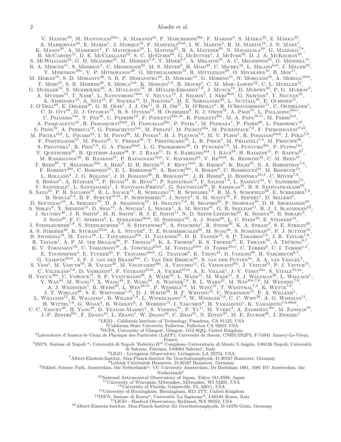V. MANDIC<sup>76</sup>, M. MANTOVANI<sup>23ac</sup>, A. MARANDI<sup>24</sup>, F. MARCHESONI<sup>36a</sup>, F. MARION<sup>4</sup>, S. MÁRKA<sup>22</sup>, Z. MÁRKA<sup>22</sup>, A. MARKOSYAN<sup>24</sup>, E. MAROS<sup>1</sup>, J. MARQUE<sup>18</sup>, F. MARTELLI<sup>37ab</sup>, I. W. MARTIN<sup>3</sup>, R. M. MARTIN<sup>12</sup>, J. N. MARX<sup>1</sup>, K. MASON<sup>20</sup>, A. MASSEROT<sup>4</sup>, F. MATICHARD<sup>20</sup>, L. MATONE<sup>22</sup>, R. A. MATZNER<sup>65</sup>, N. MAVALVALA<sup>20</sup>, G. MAZ R. A. MERCER<sup>11</sup>, S. MESHKOV<sup>1</sup>, C. MESSENGER<sup>55</sup>, M. S. MEYER<sup>6</sup>, H. MIAO<sup>49</sup>, C. MICHEL<sup>34</sup>, L. MILANO<sup>5ab</sup>, J. MILLER<sup>52</sup>, Y. MINEWAOV<sup>56a</sup>, V. P. MITROFANOV<sup>28</sup>, G. MITSELMAKHER<sup>12</sup>, R. MITTLEMAN<sup>20</sup>, O. MIYAKAWA<sup>10</sup>, M. MOHAN<sup>18</sup>, S. D. MOHANTY<sup>26</sup>, S. R. P. MOHAPATRA<sup>42</sup>, D. MORARU<sup>15</sup>, G. MORENO<sup>15</sup>, N. MORGADO<sup>34</sup>, A. MORGIA<sup>56ab</sup>, T. MORI<sup>10</sup>, S. R. MORRISS<sup>26</sup>, S. MOSCA<sup>5ab</sup>, K. MOSSAVI<sup>7,8</sup>, B. MOURS<sup>4</sup>, C. M. MOW-LOWRY<sup>52</sup>, C. L. MUELLER<sup>12</sup>, G. MUKHERJEE<sup>12</sup>, G. MUKHERJEE<sup>12</sup>, S. MUKHERJEE<sup>26</sup>, A. MULLAVEY<sup>52</sup>, H. MÜLLER-EBHARDT<sup>7,8</sup>, J. MUNCH<sup></sup> A. MYTIDIS<sup>12</sup>, T. NASH<sup>1</sup>, L. NATICCHIONI<sup>14ab</sup>, V. NECULA<sup>12</sup>, J. NELSON<sup>3</sup>, I. NERI<sup>36ab</sup>, G. NEWTON<sup>3</sup>, T. NGUYEN<sup>52</sup>,<br>A. NISHIZAWA<sup>10</sup>, A. NITZ<sup>19</sup>, F. NOCERA<sup>18</sup>, D. NOLTING<sup>6</sup>, M. E. NORMANDIN<sup>26</sup>, L. NUTTALL<sup>55</sup>, C. PALOMBA<sup>14a</sup>, Y. PAN<sup>40</sup>, C. PANKOW<sup>12</sup>, F. PAOLETTI<sup>23a, 18</sup>, R. PAOLETTI<sup>23a</sup>, M. A. PAPA<sup>16,11</sup>, M. PARISI<sup>5ab</sup>, A. PASQUALETTI<sup>18</sup>, R. PASSAQUIETI<sup>23ab</sup>, D. PASSUELLO<sup>23a</sup>, P. PATEL<sup>1</sup>, M. PEDRAZA<sup>1</sup>, P. PEIRIS<sup>66</sup>, L. PEKOWSKY<sup>19</sup>, S. PENN<sup>78</sup>, A. PERRECA<sup>19</sup>, G. PERSICHETTI<sup>5ab</sup>, M. PHELPS<sup>1</sup>, M. PICHOT<sup>33a</sup>, M. PICKENPACK<sup>7,8</sup>, F. PIERGIOVANNI<sup>37ab</sup>, M. PIETKA<sup>25d</sup>, L. PINARD<sup>34</sup>, I. M. PINTO<sup>86</sup>, M. PITKIN<sup>3</sup>, H. J. PLETSCH<sup>7,8</sup>, M. V. PLISSI<sup>3</sup>, R. POGGIANI<sup>23ab</sup>, J. PÖLD<sup>7,8</sup>, F. POSTIGLIONE<sup>57</sup>, M. PRATO<sup>50</sup>, V. PREDOI<sup>55</sup>, T. PRESTEGARD<sup>76</sup>, L. R. PRICE<sup>1</sup>, M. PRI S. PRIVITERA<sup>1</sup>, R. PRIX<sup>7,8</sup>, G. A. Prodi<sup>60ab</sup>, L. G. Prokhorov<sup>28</sup>, O. Puncken<sup>7,8</sup>, M. Punturo<sup>36a</sup>, P. Puppo<sup>14a</sup>, V. QUETSCHKE<sup>26</sup>, R. QUITZOW-JAMES<sup>38</sup>, F. J. RAAB<sup>15</sup>, D. S. RABELING<sup>9ab</sup>, I. RÁCZ<sup>59</sup>, H. RADKINS<sup>15</sup>, P. RAFFAI<sup>67</sup>, M. RAKHMANOV<sup>26</sup>, B. RANKINS<sup>47</sup>, P. RAPAGNANI<sup>14ab</sup>, V. RAYMOND<sup>63</sup>, V. RE<sup>56ab</sup>, K. REDWINE<sup>22</sup>, C. M. REED<sup>15</sup>, T. REED<sup>87</sup>, T. REGIMBAU<sup>33a</sup>, S. REID<sup>3</sup>, D. H. REITZE<sup>12</sup>, F. RICCI<sup>14ab</sup>, R. RIESEN<sup>6</sup>, K. RILES<sup>45</sup>, N. A. ROBERTSON<sup>1,3</sup>, F. ROBINET<sup>29a</sup>, C. ROBINSON<sup>55</sup>, E. L. ROBINSON<sup>16</sup>, A. ROCCHI<sup>56a</sup>, S. RODDY<sup>6</sup>, C. RODRIGUE L. ROLLAND<sup>4</sup>, J. G. ROLLINS<sup>1</sup>, J. D. ROMANO<sup>26</sup>, R. ROMANO<sup>5ac</sup>, J. H. ROMIE<sup>6</sup>, D. ROSIŃSKA<sup>25cf</sup>, C. RÖVER<sup>7,8</sup>,<br>S. ROWAN<sup>3</sup>, A. RÜDIGER<sup>7,8</sup>, P. RUGGI<sup>18</sup>, K. RYAN<sup>15</sup>, P. SAINATHAN<sup>12</sup>, F. SALEMI<sup>7,8</sup>, L. SAMMUT<sup>54</sup> J. SOTO<sup>20</sup>, F. C. SPEIRITS<sup>3</sup>, L. SPERANDIO<sup>56ab</sup>, M. STEFSZKY<sup>52</sup>, A. J. STEIN<sup>20</sup>, L. C. STEIN<sup>20</sup>, E. STEINERT<sup>15</sup>, J. STEINLECHNER<sup>7,8</sup>, S. STEINLECHNER<sup>7,8</sup>, S. STEINLECHNER<sup>7,8</sup>, S. STEINLECHNER<sup>7,8</sup>, S. STEINLECHN A. S. STROEER<sup>26</sup>, R. STURANI<sup>37ab</sup>, A. L. STUVER<sup>6</sup>, T. Z. SUMMERSCALES<sup>89</sup>, M. SUNG<sup>46</sup>, S. SUSMITHAN<sup>31</sup>, P. J. SUTTON<sup>55</sup>, B. SWINKELS<sup>18</sup>, M. TACCA<sup>18</sup>, L. TAFFARELLO<sup>60c</sup>, D. TALUKDER<sup>35</sup>, D. B. TANNER<sup>12</sup>, S. P. TAR K. V. TOKMAKOV<sup>83</sup>, C. TOMLINSON<sup>58</sup>, A. TONCELLI<sup>23ab</sup>, M. TONELLI<sup>23ab</sup>, O. TORRE<sup>23ac</sup>, C. TORRES<sup>6</sup>, C. I. TORRIE<sup>1,3</sup>, E. TOURNEFIER<sup>4</sup>, E. TUCKER<sup>53</sup>, F. TRAVASSO<sup>36ab</sup>, G. TRAYLOR<sup>6</sup>, K. TSENG<sup>24</sup>, D. UGOLINI<sup>90</sup>, H. VAHLBRUCH<sup>8,7</sup>, G. VAJENTE<sup>23ab</sup>, J. F. J. van den Brand<sup>9ab</sup>, C. Van Den Broeck<sup>9a</sup>, S. van der Putten<sup>9a</sup>, A. A. van Veggel<sup>3</sup>, S. VASS<sup>1</sup>, M. VASUTH<sup>59</sup>, R. VAULIN<sup>20</sup>, M. VAVOULIDIS<sup>29a</sup>, A. VECCHIO<sup>13</sup>, G. VEDOVATO<sup>60c</sup>, J. VEITCH<sup>55</sup>, P. J. VEITCH<sup>74</sup>, C. VELTKAMP<sup>7,8</sup>, D. VERKINDT<sup>4</sup>, F. VETRANO<sup>37ab</sup>, A. VICERÉ<sup>37ab</sup>, A. E. VILLAR<sup>1</sup>, J.-Y. VINET<sup>33a</sup>, S. VITALE<sup>70,9a</sup>, H. VOCCA<sup>36a</sup>, C. VORVICK<sup>15</sup>, S. P. VYATCHANIN<sup>28</sup>, A. WADE<sup>52</sup>, L. WADE<sup>11</sup>, M. WADE<sup>11</sup>, S. J. W H. WITTEL<sup>7,8</sup>, G. WOAN<sup>3</sup>, R. WOOLEY<sup>6</sup>, J. WORDEN<sup>15</sup>, I. YAKUSHIN<sup>6</sup>, H. YAMAMOTO<sup>1</sup>, K. YAMAMOTO<sup>7,8,60bd</sup>,<br>C. C. YANCEY<sup>40</sup>, H. YANG<sup>49</sup>, D. YEATON-MASSEY<sup>1</sup>, S. YOSHIDA<sup>91</sup>, P. YU<sup>11</sup>, M. YVERT<sup>4</sup>, A. ZADROŻNY<sup>25e</sup>, <sup>1</sup>LIGO - California Institute of Technology, Pasadena, CA 91125, USA  $^2$ California State University Fullerton, Fullerton CA 92831 USA <sup>3</sup>SUPA, University of Glasgow, Glasgow, G12 8QQ, United Kingdom 4Laboratoire d'Annecy-le-Vieux de Physique des Particules (LAPP), Université de Savoie, CNRS/IN2P3, F-74941 Annecy-Le-Vieux, France <sup>5</sup>INFN, Sezione di Napoli <sup>a</sup>; Università di Napoli 'Federico II'<sup>b</sup> Complesso Universitario di Monte S.Angelo, I-80126 Napoli; Università

di Salerno, Fisciano, I-84084 Salerno<sup>c</sup>, Italy

<sup>6</sup>LIGO - Livingston Observatory, Livingston, LA 70754, USA

<sup>7</sup>Albert-Einstein-Institut, Max-Planck-Institut fur Gravitationsphysik, D-30167 Hannover, Germany ¨

8Leibniz Universität Hannover, D-30167 Hannover, Germany<br><sup>9</sup>Nikhef, Science Park, Amsterdam, the Netherlands<sup>a</sup>; VU University Amsterdam, De Boelelaan 1081, 1081 HV Amsterdam, the

Netherlands<sup>b</sup>

<sup>10</sup>National Astronomical Observatory of Japan, Tokyo 181-8588, Japan

<sup>11</sup>University of Wisconsin–Milwaukee, Milwaukee, WI 53201, USA

<sup>12</sup>University of Florida, Gainesville, FL 32611, USA

<sup>13</sup>University of Birmingham, Birmingham, B15 2TT, United Kingdom

 $^{14}\rm{INFN}$ Sezione di Roma<sup>a</sup>; Università 'La Sapienza'<sup>b</sup>, I-00185 Roma, Italy $^{15}\rm{LIGO}$ - Hanford Observatory, Richland, WA 99352, USA

<sup>16</sup> Albert-Einstein-Institut, Max-Planck-Institut für Gravitationsphysik, D-14476 Golm, Germany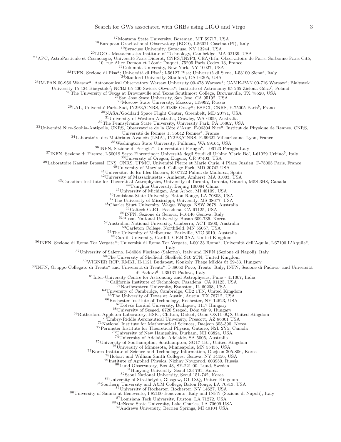## Search for GWs associated with GRBs using LIGO and Virgo 3

Montana State University, Bozeman, MT 59717, USA

European Gravitational Observatory (EGO), I-56021 Cascina (PI), Italy

Syracuse University, Syracuse, NY 13244, USA

LIGO - Massachusetts Institute of Technology, Cambridge, MA 02139, USA

<sup>21</sup>APC, AstroParticule et Cosmologie, Université Paris Diderot, CNRS/IN2P3, CEA/Irfu, Observatoire de Paris, Sorbonne Paris Cité,

10, rue Alice Domon et Léonie Duquet, 75205 Paris Cedex 13, France<br><sup>22</sup>Columbia University, New York, NY 10027, USA

<sup>23</sup>INFN, Sezione di Pisa<sup>a</sup>; Università di Pisa<sup>b</sup>; I-56127 Pisa; Università di Siena, I-53100 Siena<sup>c</sup>, Italy<br><sup>24</sup>Stanford University, Stanford, CA 94305, USA

 $^{25}$ IM-PAN 00-956 Warsaw<sup>a</sup>; Astronomical Observatory Warsaw University 00-478 Warsaw<sup>b</sup>; CAMK-PAN 00-716 Warsaw<sup>c</sup>; Białystok

University 15-424 Białystok<sup>d</sup>; NCBJ 05-400 Świerk-Otwock<sup>e</sup>; Institute of Astronomy 65-265 Zielona Góra<sup>f</sup>, Poland<br><sup>26</sup>The University of Texas at Brownsville and Texas Southmost College, Brownsville, TX 78520, USA

 $^{27}\rm{San}$  Jose State University, San Jose, CA 95192, USA

Moscow State University, Moscow, 119992, Russia

 $^{29}$ LAL, Université Paris-Sud, IN2P3/CNRS, F-91898 Orsay<sup>a</sup>; ESPCI, CNRS, F-75005 Paris<sup>b</sup>, France

NASA/Goddard Space Flight Center, Greenbelt, MD 20771, USA

 $\rm{^{31}University}$  of Western Australia, Crawley, WA 6009, Australia

The Pennsylvania State University, University Park, PA 16802, USA

Université Nice-Sophia-Antipolis, CNRS, Observatoire de la Côte d'Azur, F-06304 Nice<sup>a</sup>; Institut de Physique de Rennes, CNRS,

Université de Rennes 1, 35042 Rennes<sup>b</sup>, France

Laboratoire des Matériaux Avancés (LMA), IN2P3/CNRS, F-69622 Villeurbanne, Lyon, France

Washington State University, Pullman, WA 99164, USA

 $^{36}$ INFN, Sezione di Perugia<sup>a</sup>; Università di Perugia<sup>b</sup>, I-06123 Perugia,Italy

<sup>37</sup>INFN, Sezione di Firenze, I-50019 Sesto Fiorentino<sup>a</sup>; Università degli Studi di Urbino 'Carlo Bo', I-61029 Urbino<sup>b</sup>, Italy <sup>38</sup>University of Oregon, Eugene, OR 97403, USA

39Laboratoire Kastler Brossel, ENS, CNRS, UPMC, Université Pierre et Marie Curie, 4 Place Jussieu, F-75005 Paris, France

University of Maryland, College Park, MD 20742 USA

Universitat de les Illes Balears, E-07122 Palma de Mallorca, Spain

University of Michigan, Ann Arbor, MI 48109, USA

Louisiana State University, Baton Rouge, LA 70803, USA

The University of Mississippi, University, MS 38677, USA

Charles Sturt University, Wagga Wagga, NSW 2678, Australia

 $^{49}$ Caltech-CaRT, Pasadena, CA 91125, USA

INFN, Sezione di Genova, I-16146 Genova, Italy

Pusan National University, Busan 609-735, Korea

Australian National University, Canberra, ACT 0200, Australia

<sup>53</sup>Carleton College, Northfield, MN 55057, USA

<sup>54</sup>The University of Melbourne, Parkville, VIC 3010, Australia

Cardiff University, Cardiff, CF24 3AA, United Kingdom

 $^{56}$ INFN, Sezione di Roma Tor Vergata<sup>a</sup>; Università di Roma Tor Vergata, I-00133 Roma<sup>b</sup>; Università dell'Aquila, I-67100 L'Aquila<sup>c</sup>,

Italy

University of Salerno, I-84084 Fisciano (Salerno), Italy and INFN (Sezione di Napoli), Italy

The University of Sheffield, Sheffield S10 2TN, United Kingdom

 $^{59}\rm WIGNER$  RCP, RMKI, H-1121 Budapest, Konkoly Thege Miklós út 29-33, Hungary

 $^{60}$ INFN, Gruppo Collegato di Trento<sup>a</sup> and Università di Trento<sup>b</sup>, I-38050 Povo, Trento, Italy; INFN, Sezione di Padova<sup>c</sup> and Università

di Padova<sup>d</sup>, I-35131 Padova, Italy

Inter-University Centre for Astronomy and Astrophysics, Pune - 411007, India

California Institute of Technology, Pasadena, CA 91125, USA

Northwestern University, Evanston, IL 60208, USA

University of Cambridge, Cambridge, CB2 1TN, United Kingdom

The University of Texas at Austin, Austin, TX 78712, USA

Rochester Institute of Technology, Rochester, NY 14623, USA

 $67E$ ötvös Loránd University, Budapest, 1117 Hungary

University of Szeged, 6720 Szeged, Dóm tér 9, Hungary

Rutherford Appleton Laboratory, HSIC, Chilton, Didcot, Oxon OX11 0QX United Kingdom

Embry-Riddle Aeronautical University, Prescott, AZ 86301 USA

National Institute for Mathematical Sciences, Daejeon 305-390, Korea

Perimeter Institute for Theoretical Physics, Ontario, N2L 2Y5, Canada

University of New Hampshire, Durham, NH 03824, USA

University of Adelaide, Adelaide, SA 5005, Australia

University of Southampton, Southampton, SO17 1BJ, United Kingdom

 $^{76}$ University of Minnesota, Minneapolis, MN 55455, USA

<sup>77</sup>Korea Institute of Science and Technology Information, Daejeon 305-806, Korea

Hobart and William Smith Colleges, Geneva, NY 14456, USA

Institute of Applied Physics, Nizhny Novgorod, 603950, Russia

Lund Observatory, Box 43, SE-221 00, Lund, Sweden

Hanyang University, Seoul 133-791, Korea

Seoul National University, Seoul 151-742, Korea

University of Strathclyde, Glasgow, G1 1XQ, United Kingdom

Southern University and A&M College, Baton Rouge, LA 70813, USA University of Rochester, Rochester, NY 14627, USA

University of Sannio at Benevento, I-82100 Benevento, Italy and INFN (Sezione di Napoli), Italy

Louisiana Tech University, Ruston, LA 71272, USA

McNeese State University, Lake Charles, LA 70609 USA

Andrews University, Berrien Springs, MI 49104 USA

University of Massachusetts - Amherst, Amherst, MA 01003, USA

Canadian Institute for Theoretical Astrophysics, University of Toronto, Toronto, Ontario, M5S 3H8, Canada

<sup>44</sup>Tsinghua University, Beijing 100084 China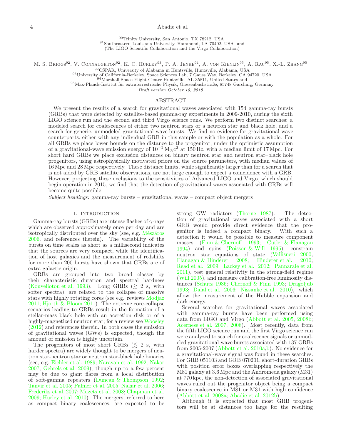### 4 Abadie et al.

<sup>90</sup>Trinity University, San Antonio, TX 78212, USA <sup>91</sup>Southeastern Louisiana University, Hammond, LA 70402, USA and (The LIGO Scientific Collaboration and the Virgo Collaboration)

<sup>92</sup>CSPAR, University of Alabama in Huntsville, Huntsville, Alabama, USA

<sup>93</sup>University of California-Berkeley, Space Sciences Lab, 7 Gauss Way, Berkeley, CA 94720, USA

<sup>94</sup>Marshall Space Flight Center Huntsville, AL 35811, United States and

 $95$ Max-Planck-Institut für extraterrestrische Physik, Giessenbachstraße, 85748 Garching, Germany

Draft version October 10, 2018

## ABSTRACT

We present the results of a search for gravitational waves associated with 154 gamma-ray bursts (GRBs) that were detected by satellite-based gamma-ray experiments in 2009-2010, during the sixth LIGO science run and the second and third Virgo science runs. We perform two distinct searches: a modeled search for coalescences of either two neutron stars or a neutron star and black hole; and a search for generic, unmodeled gravitational-wave bursts. We find no evidence for gravitational-wave counterparts, either with any individual GRB in this sample or with the population as a whole. For all GRBs we place lower bounds on the distance to the progenitor, under the optimistic assumption of a gravitational-wave emission energy of  $10^{-2} M_{\odot} c^2$  at 150 Hz, with a median limit of 17 Mpc. For short hard GRBs we place exclusion distances on binary neutron star and neutron star–black hole progenitors, using astrophysically motivated priors on the source parameters, with median values of 16 Mpc and 28 Mpc respectively. These distance limits, while significantly larger than for a search that is not aided by GRB satellite observations, are not large enough to expect a coincidence with a GRB. However, projecting these exclusions to the sensitivities of Advanced LIGO and Virgo, which should begin operation in 2015, we find that the detection of gravitational waves associated with GRBs will become quite possible.

 $Subject$  headings: gamma-ray bursts – gravitational waves – compact object mergers

#### 1. INTRODUCTION

Gamma-ray bursts (GRBs) are intense flashes of  $\gamma$ -rays which are observed approximately once per day and are isotropically distributed over the sky (see, e.g. Mészáros [2006,](#page-18-0) and references therein). The variability of the bursts on time scales as short as a millisecond indicates that the sources are very compact, while the identification of host galaxies and the measurement of redshifts for more than 200 bursts have shown that GRBs are of extra-galactic origin.

GRBs are grouped into two broad classes by their characteristic duration and spectral hardness [\(Kouveliotou et al. 1993](#page-18-1)). Long GRBs  $(\gtrsim 2 \text{ s}, \text{ with})$ softer spectra), are related to the collapse of massive stars with highly rotating cores (see e.g. reviews [Modjaz](#page-18-2) [2011;](#page-18-2) [Hjorth & Bloom 2011](#page-18-3)). The extreme core-collapse scenarios leading to GRBs result in the formation of a stellar-mass black hole with an accretion disk or of a highly-magnetized neutron star; for a review see [Woosley](#page-18-4) [\(2012\)](#page-18-4) and references therein. In both cases the emission of gravitational waves (GWs) is expected, though the amount of emission is highly uncertain.

The progenitors of most short GRBs ( $\lesssim$  2 s, with harder spectra) are widely thought to be mergers of neutron star-neutron star or neutron star-black hole binaries (see, e.g. [Eichler et al. 1989](#page-17-0); [Narayan et al. 1992;](#page-18-5) [Nakar](#page-18-6) [2007;](#page-18-6) [Gehrels et al. 2009](#page-18-7)), though up to a few percent may be due to giant flares from a local distribution of soft-gamma repeaters [\(Duncan & Thompson 1992;](#page-17-1) [Tanvir et al. 2005;](#page-18-8) [Palmer et al. 2005;](#page-18-9) [Nakar et al. 2006;](#page-18-10) [Frederiks et al. 2007;](#page-18-11) [Mazets et al. 2008;](#page-18-12) [Chapman et al.](#page-17-2) [2009;](#page-17-2) [Hurley et al. 2010](#page-18-13)). The mergers, referred to here as compact binary coalescences, are expected to be strong GW radiators [\(Thorne 1987\)](#page-18-14). The detection of gravitational waves associated with a short GRB would provide direct evidence that the progenitor is indeed a compact binary. With such a detection it would be possible to measure component masses [\(Finn & Chernoff 1993;](#page-18-15) [Cutler & Flanagan](#page-17-3) [1994\)](#page-17-3) and spins [\(Poisson & Will 1995\)](#page-18-16), constrain neutron star equations of state [\(Vallisneri 2000](#page-18-17); [Flanagan & Hinderer 2008;](#page-18-18) [Hinderer et al. 2010](#page-18-19); [Read et al. 2009;](#page-18-20) [Lackey et al. 2012;](#page-18-21) [Pannarale et al.](#page-18-22) [2011\)](#page-18-22), test general relativity in the strong-field regime [\(Will 2005\)](#page-18-23), and measure calibration-free luminosity distances [\(Schutz 1986;](#page-18-24) [Chernoff & Finn 1993](#page-17-4); [Dragoljub](#page-17-5) [1993;](#page-17-5) [Dalal et al. 2006;](#page-17-6) [Nissanke et al. 2010\)](#page-18-25), which allow the measurement of the Hubble expansion and dark energy.

Several searches for gravitational waves associated with gamma-ray bursts have been performed using data from LIGO and Virgo [\(Abbott et al. 2005](#page-17-7), [2008b](#page-17-8); [Acernese et al. 2007,](#page-17-9) [2008\)](#page-17-10). Most recently, data from the fifth LIGO science run and the first Virgo science run were analyzed to search for coalescence signals or unmodeled gravitational-wave bursts associated with 137 GRBs from 2005-2007 [\(Abbott et al. 2010a](#page-17-11)[,b\)](#page-17-12). No evidence for a gravitational-wave signal was found in these searches. For GRB 051103 and GRB 070201, short-duration GRBs with position error boxes overlapping respectively the M81 galaxy at 3.6 Mpc and the Andromeda galaxy (M31) at 770 kpc, the non-detection of associated gravitational waves ruled out the progenitor object being a compact binary coalescence in M81 or M31 with high confidence [\(Abbott et al. 2008a;](#page-17-13) [Abadie et al. 2012b\)](#page-17-14).

Although it is expected that most GRB progenitors will be at distances too large for the resulting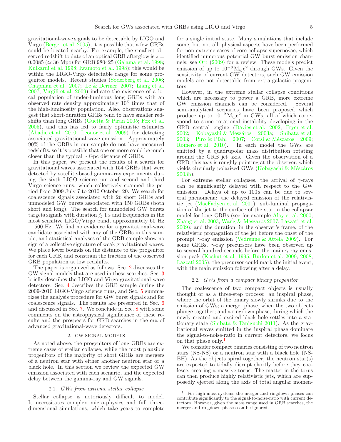gravitational-wave signals to be detectable by LIGO and Virgo [\(Berger et al. 2005](#page-17-15)), it is possible that a few GRBs could be located nearby. For example, the smallest observed redshift to date of an optical GRB afterglow is  $z =$  $0.0085 \approx 36$  Mpc) for GRB 980425 [\(Galama et al. 1998;](#page-18-26) [Kulkarni et al. 1998;](#page-18-27) [Iwamoto et al. 1998](#page-18-28)); this would be within the LIGO-Virgo detectable range for some progenitor models. Recent studies [\(Soderberg et al. 2006;](#page-18-29) [Chapman et al. 2007](#page-17-16); [Le & Dermer 2007;](#page-18-30) [Liang et al.](#page-18-31) [2007;](#page-18-31) [Virgili et al. 2009\)](#page-18-32) indicate the existence of a local population of under-luminous long GRBs with an observed rate density approximately  $10^3$  times that of the high-luminosity population. Also, observations suggest that short-duration GRBs tend to have smaller redshifts than long GRBs [\(Guetta & Piran 2005;](#page-18-33) [Fox et al.](#page-18-34) [2005\)](#page-18-34), and this has led to fairly optimistic estimates [\(Abadie et al. 2010;](#page-17-17) [Leonor et al. 2009](#page-18-35)) for detecting associated gravitational-wave emission. Approximately 90% of the GRBs in our sample do not have measured redshifts, so it is possible that one or more could be much closer than the typical ∼Gpc distance of GRBs.

In this paper, we present the results of a search for gravitational waves associated with 154 GRBs that were detected by satellite-based gamma-ray experiments during the sixth LIGO science run and second and third Virgo science runs, which collectively spanned the period from 2009 July 7 to 2010 October 20. We search for coalescence signals associated with 26 short GRBs and unmodeled GW bursts associated with 150 GRBs (both short and long). The search for unmodeled GW bursts targets signals with duration  $\lesssim 1$  s and frequencies in the most sensitive LIGO/Virgo band, approximately 60 Hz − 500 Hz. We find no evidence for a gravitational-wave candidate associated with any of the GRBs in this sample, and statistical analyses of the GRB sample show no sign of a collective signature of weak gravitational waves. We place lower bounds on the distance to the progenitor for each GRB, and constrain the fraction of the observed GRB population at low redshifts.

The paper is organized as follows. Sec. [2](#page-4-0) discusses the GW signal models that are used in these searches. Sec. [3](#page-5-0) briefly describes the LIGO and Virgo gravitational-wave detectors. Sec. [4](#page-5-1) describes the GRB sample during the 2009-2010 LIGO-Virgo science runs, and Sec. [5](#page-6-0) summarizes the analysis procedure for GW burst signals and for coalescence signals. The results are presented in Sec. [6](#page-8-0) and discussed in Sec. [7.](#page-9-0) We conclude in Sec. [8](#page-12-0) with some comments on the astrophysical significance of these results and the prospects for GRB searches in the era of advanced gravitational-wave detectors.

### 2. GW SIGNAL MODELS

<span id="page-4-0"></span>As noted above, the progenitors of long GRBs are extreme cases of stellar collapse, while the most plausible progenitors of the majority of short GRBs are mergers of a neutron star with either another neutron star or a black hole. In this section we review the expected GW emission associated with each scenario, and the expected delay between the gamma-ray and GW signals.

#### 2.1. GWs from extreme stellar collapse

<span id="page-4-2"></span>Stellar collapse is notoriously difficult to model. It necessitates complex micro-physics and full threedimensional simulations, which take years to complete for a single initial state. Many simulations that include some, but not all, physical aspects have been performed for non-extreme cases of core-collapse supernovae, which identified numerous potential GW burst emission channels; see [Ott](#page-18-36) [\(2009\)](#page-18-36) for a review. These models predict emission of up to  $10^{-8} M_{\odot} c^2$  through GWs. Given the sensitivity of current GW detectors, such GW emission models are not detectable from extra-galactic progenitors.

However, in the extreme stellar collapse conditions which are necessary to power a GRB, more extreme GW emission channels can be considered. Several semi-analytical scenarios have been proposed which produce up to  $10^{-2} M_{\odot} c^2$  in GWs, all of which correspond to some rotational instability developing in the GRB central engine [\(Davies et al. 2002;](#page-17-18) [Fryer et al.](#page-18-37) [2002;](#page-18-37) Kobayashi & Mészáros 2003a; [Shibata et al.](#page-18-39) [2003;](#page-18-39) [Piro & Pfahl 2007;](#page-18-40) Corsi & Mészáros 2009; [Romero et al. 2010\)](#page-18-41). In each model the GWs are emitted by a quadrupolar mass distribution rotating around the GRB jet axis. Given the observation of a GRB, this axis is roughly pointing at the observer, which yields circularly polarized GWs (Kobayashi  $\&$  Mészáros [2003b](#page-18-42)).

For extreme stellar collapses, the arrival of  $\gamma$ -rays can be significantly delayed with respect to the GW emission. Delays of up to 100s can be due to several phenomena: the delayed emission of the relativistic jet [\(MacFadyen et al. 2001\)](#page-18-43); sub-luminal propagation of the jet to the surface of the star in the collapsar model for long GRBs (see for example [Aloy et al. 2000](#page-17-20); [Zhang et al. 2003;](#page-18-44) [Wang & Meszaros 2007;](#page-18-45) [Lazzati et al.](#page-18-46) [2009\)](#page-18-46); and the duration, in the observer's frame, of the relativistic propagation of the jet before the onset of the prompt  $\gamma$ -ray emission [\(Vedrenne & Atteia 2009\)](#page-18-47). For some GRBs,  $\gamma$ -ray precursors have been observed up to several hundred seconds before the main  $\gamma$ -ray emission peak [\(Koshut et al. 1995](#page-18-48); [Burlon et al. 2009,](#page-17-21) [2008](#page-17-22); [Lazzati 2005\)](#page-18-49); the precursor could mark the initial event, with the main emission following after a delay.

### 2.2. GWs from a compact binary progenitor

<span id="page-4-3"></span>The coalescence of two compact objects is usually thought of as a three-step process: an inspiral phase, where the orbit of the binary slowly shrinks due to the emission of GWs; a merger phase, when the two objects plunge together; and a ringdown phase, during which the newly created and excited black hole settles into a stationary state [\(Shibata & Taniguchi 2011](#page-18-50)). As the gravitational waves emitted in the inspiral phase dominate the signal-to-noise-ratio in current detectors, we focus on that phase only.<sup>[1](#page-4-1)</sup>

We consider compact binaries consisting of two neutron stars (NS-NS) or a neutron star with a black hole (NS-BH). As the objects spiral together, the neutron star(s) are expected to tidally disrupt shortly before they coalesce, creating a massive torus. The matter in the torus can then produce highly relativistic jets, which are supposedly ejected along the axis of total angular momen-

<span id="page-4-1"></span><sup>1</sup> For high-mass systems the merger and ringdown phases can contribute significantly to the signal-to-noise-ratio with current detectors. However, given the mass range used in GRB searches, the merger and ringdown phases can be ignored.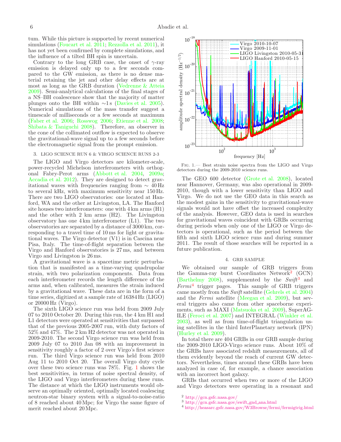tum. While this picture is supported by recent numerical simulations [\(Foucart et al. 2011;](#page-18-51) [Rezzolla et al. 2011\)](#page-18-52), it has not yet been confirmed by complete simulations, and the influence of a tilted BH spin is uncertain.

Contrary to the long GRB case, the onset of  $\gamma$ -ray emission is delayed only up to a few seconds compared to the GW emission, as there is no dense material retaining the jet and other delay effects are at most as long as the GRB duration [\(Vedrenne & Atteia](#page-18-47) [2009\)](#page-18-47). Semi-analytical calculations of the final stages of a NS–BH coalescence show that the majority of matter plunges onto the BH within  $\sim$ 1 s [\(Davies et al. 2005\)](#page-17-23). Numerical simulations of the mass transfer suggest a timescale of milliseconds or a few seconds at maximum [\(Faber et al. 2006;](#page-18-53) [Rosswog 2006;](#page-18-54) [Etienne et al. 2008;](#page-18-55) [Shibata & Taniguchi 2008\)](#page-18-56). Therefore, an observer in the cone of the collimated outflow is expected to observe the gravitational-wave signal up to a few seconds before the electromagnetic signal from the prompt emission.

#### <span id="page-5-0"></span>3. LIGO SCIENCE RUN 6 & VIRGO SCIENCE RUNS 2-3

The LIGO and Virgo detectors are kilometer-scale, power-recycled Michelson interferometers with orthogonal Fabry-Perot arms [\(Abbott et al. 2004,](#page-17-24) [2009a;](#page-17-25) [Accadia et al. 2012\)](#page-17-26). They are designed to detect gravitational waves with frequencies ranging from  $\sim 40$  Hz to several kHz, with maximum sensitivity near 150 Hz. There are two LIGO observatories: one located at Hanford, WA and the other at Livingston, LA. The Hanford site houses two interferometers: one with 4 km arms (H1) and the other with 2 km arms (H2). The Livingston observatory has one 4 km interferometer (L1). The two observatories are separated by a distance of 3000 km, corresponding to a travel time of 10 ms for light or gravitational waves. The Virgo detector (V1) is in Cascina near Pisa, Italy. The time-of-flight separation between the Virgo and Hanford observatories is 27 ms, and between Virgo and Livingston is 26 ms.

A gravitational wave is a spacetime metric perturbation that is manifested as a time-varying quadrupolar strain, with two polarization components. Data from each interferometer records the length difference of the arms and, when calibrated, measures the strain induced by a gravitational wave. These data are in the form of a time series, digitized at a sample rate of 16384 Hz (LIGO) or 20000 Hz (Virgo).

The sixth LIGO science run was held from 2009 July 07 to 2010 October 20. During this run, the 4 km H1 and L1 detectors were operated at sensitivities that surpassed that of the previous 2005-2007 run, with duty factors of 52% and 47%. The 2 km H2 detector was not operated in 2009-2010. The second Virgo science run was held from 2009 July 07 to 2010 Jan 08 with an improvement in sensitivity roughly a factor of 2 over Virgo's first science run. The third Virgo science run was held from 2010 Aug 11 to 2010 Oct 20. The overall Virgo duty cycle over these two science runs was 78%. Fig. [1](#page-5-2) shows the best sensitivities, in terms of noise spectral density, of the LIGO and Virgo interferometers during these runs. The distance at which the LIGO instruments would observe an optimally oriented, optimally located coalescing neutron-star binary system with a signal-to-noise-ratio of 8 reached about 40 Mpc; for Virgo the same figure of merit reached about 20Mpc.



<span id="page-5-2"></span>Fig. 1.— Best strain noise spectra from the LIGO and Virgo detectors during the 2009-2010 science runs.

The GEO 600 detector [\(Grote et al. 2008](#page-18-57)), located near Hannover, Germany, was also operational in 2009- 2010, though with a lower sensitivity than LIGO and Virgo. We do not use the GEO data in this search as the modest gains in the sensitivity to gravitational-wave signals would not have offset the increased complexity of the analysis. However, GEO data is used in searches for gravitational waves coincident with GRBs occurring during periods when only one of the LIGO or Virgo detectors is operational, such as the period between the fifth and sixth LIGO science runs and during summer 2011. The result of those searches will be reported in a future publication.

### 4. GRB SAMPLE

<span id="page-5-1"></span>We obtained our sample of GRB triggers from the Gamma-ray burst Coordinates Network<sup>[2](#page-5-3)</sup> (GCN) [\(Barthelmy 2008\)](#page-17-27), supplemented by the  $Swift^3$  $Swift^3$  and  $Fermi<sup>4</sup>$  $Fermi<sup>4</sup>$  $Fermi<sup>4</sup>$  trigger pages. This sample of GRB triggers came mostly from the Swift satellite [\(Gehrels et al. 2004](#page-18-58)) and the Fermi satellite [\(Meegan et al. 2009\)](#page-18-59), but several triggers also came from other spaceborne experiments, such as MAXI [\(Matsuoka et al. 2009\)](#page-18-60), SuperAG-ILE [\(Feroci et al. 2007\)](#page-18-61) and INTEGRAL [\(Winkler et al.](#page-18-62) [2003\)](#page-18-62), as well as from time-of-flight triangulation using satellites in the third InterPlanetary network (IPN) [\(Hurley et al. 2009\)](#page-18-63).

In total there are 404 GRBs in our GRB sample during the 2009-2010 LIGO-Virgo science runs. About 10% of the GRBs have associated redshift measurements, all of them evidently beyond the reach of current GW detectors. Nevertheless, times around these GRBs have been analyzed in case of, for example, a chance association with an incorrect host galaxy.

GRBs that occurred when two or more of the LIGO and Virgo detectors were operating in a resonant and

- <sup>2</sup> <http://gcn.gsfc.nasa.gov/>
- <span id="page-5-3"></span><sup>3</sup> [http://gcn.gsfc.nasa.gov/swift](http://gcn.gsfc.nasa.gov/swift_gnd_ana.html) gnd ana.html
- <span id="page-5-5"></span><span id="page-5-4"></span><sup>4</sup> <http://heasarc.gsfc.nasa.gov/W3Browse/fermi/fermigtrig.html>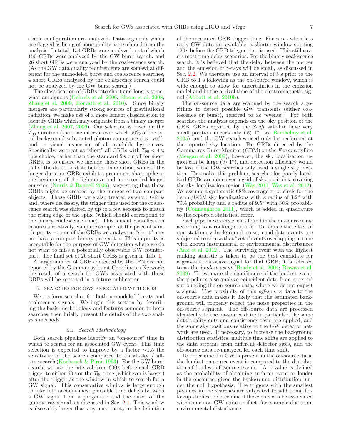stable configuration are analyzed. Data segments which are flagged as being of poor quality are excluded from the analysis. In total, 154 GRBs were analyzed, out of which 150 GRBs were analyzed by the GW burst search, and 26 short GRBs were analyzed by the coalescence search. (As the GW data quality requirements are somewhat different for the unmodeled burst and coalescence searches, 4 short GRBs analyzed by the coalescence search could not be analyzed by the GW burst search.)

The classification of GRBs into short and long is somewhat ambiguous [\(Gehrels et al. 2006;](#page-18-64) [Bloom et al. 2008;](#page-17-28) [Zhang et al. 2009;](#page-18-65) [Horvath et al. 2010\)](#page-18-66). Since binary mergers are particularly strong sources of gravitational radiation, we make use of a more lenient classification to identify GRBs which may originate from a binary merger [\(Zhang et al. 2007,](#page-18-67) [2009\)](#page-18-65). Our selection is based on the  $T_{90}$  duration (the time interval over which 90% of the total background-subtracted photon counts are observed), and on visual inspection of all available lightcurves. Specifically, we treat as "short" all GRBs with  $T_{90} < 4$  s; this choice, rather than the standard 2s cutoff for short GRBs, is to ensure we include those short GRBs in the tail of the duration distribution. In addition, some of the longer-duration GRBs exhibit a prominent short spike at the beginning of the lightcurve and an extended longer emission [\(Norris & Bonnell 2006\)](#page-18-68), suggesting that those GRBs might be created by the merger of two compact objects. Those GRBs were also treated as short GRBs and, where necessary, the trigger time used for the coalescence search was shifted by up to a few seconds to match the rising edge of the spike (which should correspond to the binary coalescence time). This lenient classification ensures a relatively complete sample, at the price of sample purity – some of the GRBs we analyze as "short"may not have a compact binary progenitor. This impurity is acceptable for the purpose of GW detection where we do not want to miss a potentially observable GW counterpart. The final set of 26 short GRBs is given in Tab. [1.](#page-14-0)

A large number of GRBs detected by the IPN are not reported by the Gamma-ray burst Coordinates Network; the result of a search for GWs associated with those GRBs will be reported in a future publication.

## <span id="page-6-0"></span>5. SEARCHES FOR GWS ASSOCIATED WITH GRBS

We perform searches for both unmodeled bursts and coalescence signals. We begin this section by describing the basic methodology and features common to both searches, then briefly present the details of the two analysis methods.

### 5.1. Search Methodology

<span id="page-6-1"></span>Both search pipelines identify an "on-source" time in which to search for an associated GW event. This time selection is expected to improve by a factor  $\sim$ 1.5 the sensitivity of the search compared to an all-sky / alltime search [\(Kochanek & Piran 1993\)](#page-18-69). For the GW burst search, we use the interval from 600 s before each GRB trigger to either  $60$  s or the  $T_{90}$  time (whichever is larger) after the trigger as the window in which to search for a GW signal. This conservative window is large enough to take into account most plausible time delays between a GW signal from a progenitor and the onset of the gamma-ray signal, as discussed in Sec. [2.1.](#page-4-2) This window is also safely larger than any uncertainty in the definition of the measured GRB trigger time. For cases when less early GW data are available, a shorter window starting 120 s before the GRB trigger time is used. This still covers most time-delay scenarios. For the binary coalescence search, it is believed that the delay between the merger and the emission of  $\gamma$ -rays will be small, as discussed in Sec. [2.2.](#page-4-3) We therefore use an interval of 5 s prior to the GRB to 1 s following as the on-source window, which is wide enough to allow for uncertainties in the emission model and in the arrival time of the electromagnetic signal [\(Abbott et al. 2010b\)](#page-17-12).

The on-source data are scanned by the search algorithms to detect possible GW transients (either coalescence or burst), referred to as "events". For both searches the analysis depends on the sky position of the GRB. GRBs reported by the Swift satellite have very small position uncertainty  $(\ll 1^{\circ}; s$ ee [Barthelmy et al.](#page-17-29) [2005\)](#page-17-29), and the GW searches need only be performed at the reported sky location. For GRBs detected by the Gamma-ray Burst Monitor (GBM) on the Fermi satellite [\(Meegan et al. 2009\)](#page-18-59), however, the sky localization region can be large  $(\gg 1^{\circ})$ , and detection efficiency would be lost if the GW searches only used a single sky location. To resolve this problem, searches for poorly localized GRBs are done over a grid of sky positions, covering the sky localization region [\(W](#page-18-70)as [2011;](#page-18-70) W[as et al. 2012\)](#page-18-71). We assume a systematic 68% coverage error circle for the Fermi/GBM sky localizations with a radius of 3.2° with 70% probability and a radius of 9.5 ◦ with 30% probability [\(Connaughton 2011\)](#page-17-30), which is added in quadrature to the reported statistical error.

Each pipeline orders events found in the on-source time according to a ranking statistic. To reduce the effect of non-stationary background noise, candidate events are subjected to checks that "veto" events overlapping in time with known instrumental or environmental disturbances [\(Aasi et al. 2012\)](#page-17-31). The surviving event with the highest ranking statistic is taken to be the best candidate for a gravitational-wave signal for that GRB; it is referred to as the loudest event [\(Brady et al. 2004;](#page-17-32) [Biswas et al.](#page-17-33) [2009\)](#page-17-33). To estimate the significance of the loudest event, the pipelines also analyze coincident data from a period surrounding the on-source data, where we do not expect a signal. The proximity of this off-source data to the on-source data makes it likely that the estimated background will properly reflect the noise properties in the on-source segment. The off-source data are processed identically to the on-source data; in particular, the same data-quality cuts and consistency tests are applied, and the same sky positions relative to the GW detector network are used. If necessary, to increase the background distribution statistics, multiple time shifts are applied to the data streams from different detector sites, and the off-source data re-analyzed for each time shift.

To determine if a GW is present in the on-source data, the loudest on-source event is compared to the distribution of loudest off-source events. A p-value is defined as the probability of obtaining such an event or louder in the onsource, given the background distribution, under the null hypothesis. The triggers with the smallest p-values in the searches are subjected to additional followup studies to determine if the events can be associated with some non-GW noise artifact, for example due to an environmental disturbance.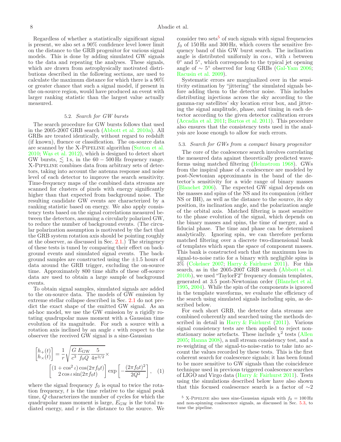Regardless of whether a statistically significant signal is present, we also set a 90% confidence level lower limit on the distance to the GRB progenitor for various signal models. This is done by adding simulated GW signals to the data and repeating the analyses. These signals, which are drawn from astrophysically motivated distributions described in the following sections, are used to calculate the maximum distance for which there is a 90% or greater chance that such a signal model, if present in the on-source region, would have produced an event with larger ranking statistic than the largest value actually measured.

### 5.2. Search for GW bursts

<span id="page-7-2"></span>The search procedure for GW bursts follows that used in the 2005-2007 GRB search [\(Abbott et al. 2010a\)](#page-17-11). All GRBs are treated identically, without regard to redshift (if known), fluence or classification. The on-source data are scanned by the X-Pipeline algorithm [\(Sutton et al.](#page-18-72)  $2010$ ; Was et al.  $2012$ ), which is designed to detect short GW bursts,  $\leq 1$  s, in the 60 – 500 Hz frequency range. X-Pipeline combines data from arbitrary sets of detectors, taking into account the antenna response and noise level of each detector to improve the search sensitivity. Time-frequency maps of the combined data streams are scanned for clusters of pixels with energy significantly higher than that expected from background noise. The resulting candidate GW events are characterized by a ranking statistic based on energy. We also apply consistency tests based on the signal correlations measured between the detectors, assuming a circularly polarized GW, to reduce the number of background events. (The circular polarization assumption is motivated by the fact that the GRB system rotation axis should be pointing roughly at the observer, as discussed in Sec. [2.1.](#page-4-2)) The stringency of these tests is tuned by comparing their effect on background events and simulated signal events. The background samples are constructed using the  $\pm 1.5$  hours of data around the GRB trigger, excluding the on-source time. Approximately 800 time shifts of these off-source data are used to obtain a large sample of background events.

To obtain signal samples, simulated signals are added to the on-source data. The models of GW emission by extreme stellar collapse described in Sec. [2.1](#page-4-2) do not predict the exact shape of the emitted GW signal. As an ad-hoc model, we use the GW emission by a rigidly rotating quadrupolar mass moment with a Gaussian time evolution of its magnitude. For such a source with a rotation axis inclined by an angle  $\iota$  with respect to the observer the received GW signal is a sine-Gaussian

$$
\begin{bmatrix} h_{+}(t) \\ h_{\times}(t) \end{bmatrix} = \frac{1}{r} \sqrt{\frac{G}{c^3} \frac{E_{\rm GW}}{f_0 Q} \frac{5}{4\pi^{3/2}}} \times \left[ (1 + \cos^2 \iota) \cos(2\pi f_0 t) \right] \exp \left[ -\frac{(2\pi f_0 t)^2}{2Q^2} \right], \quad (1)
$$

where the signal frequency  $f_0$  is equal to twice the rotation frequency,  $t$  is the time relative to the signal peak time, Q characterizes the number of cycles for which the quadrupolar mass moment is large,  $E_{\rm GW}$  is the total radiated energy, and  $r$  is the distance to the source. We consider two sets<sup>[5](#page-7-0)</sup> of such signals with signal frequencies  $f_0$  of 150 Hz and 300 Hz, which covers the sensitive frequency band of this GW burst search. The inclination angle is distributed uniformly in  $\cos \iota$ , with  $\iota$  between 0 ◦ and 5◦ , which corresponds to the typical jet opening angle of  $\sim 5^{\circ}$  observed for long GRBs [\(Gal-Yam 2006](#page-18-73); [Racusin et al. 2009\)](#page-18-74).

Systematic errors are marginalized over in the sensitivity estimation by "jittering" the simulated signals before adding them to the detector noise. This includes distributing injections across the sky according to the gamma-ray satellites' sky location error box, and jittering the signal amplitude, phase, and timing in each detector according to the given detector calibration errors [\(Accadia et al. 2011](#page-17-34); [Bartos et al. 2011](#page-17-35)). This procedure also ensures that the consistency tests used in the analysis are loose enough to allow for such errors.

### <span id="page-7-1"></span>5.3. Search for GWs from a compact binary progenitor

The core of the coalescence search involves correlating the measured data against theoretically predicted waveforms using matched filtering [\(Helmstrom 1968\)](#page-18-75). GWs from the inspiral phase of a coalescence are modeled by post-Newtonian approximants in the band of the detector's sensitivity for a wide range of binary masses [\(Blanchet 2006\)](#page-17-36). The expected GW signal depends on the masses and spins of the NS and its companion (either NS or BH), as well as the distance to the source, its sky position, its inclination angle, and the polarization angle of the orbital axis. Matched filtering is most sensitive to the phase evolution of the signal, which depends on the binary masses and spins, the time of merger, and a fiducial phase. The time and phase can be determined analytically. Ignoring spin, we can therefore perform matched filtering over a discrete two-dimensional bank of templates which span the space of component masses. This bank is constructed such that the maximum loss in signal-to-noise ratio for a binary with negligible spins is  $3\%$  [\(Cokelaer 2007](#page-17-37); [Harry & Fairhurst 2011\)](#page-18-76). For this search, as in the 2005-2007 GRB search [\(Abbott et al.](#page-17-12) [2010b](#page-17-12)), we used "TaylorF2" frequency domain templates, generated at 3.5 post-Newtonian order [\(Blanchet et al.](#page-17-38) [1995,](#page-17-38) [2004\)](#page-17-39). While the spin of the components is ignored in the template waveforms, we evaluate the efficiency of the search using simulated signals including spin, as described below.

For each short GRB, the detector data streams are combined coherently and searched using the methods described in detail in [Harry & Fairhurst](#page-18-76) [\(2011\)](#page-18-76). Various signal consistency tests are then applied to reject nonstationary noise artefacts. These include  $\chi^2$  tests [\(Allen](#page-17-40) [2005;](#page-17-40) [Hanna 2008\)](#page-18-77), a null stream consistency test, and a re-weighting of the signal-to-noise-ratio to take into account the values recorded by these tests. This is the first coherent search for coalescence signals; it has been found to be more sensitive to GW signals than the coincidence technique used in previous triggered coalescence searches of LIGO and Virgo data [\(Harry & Fairhurst 2011\)](#page-18-76). Tests using the simulations described below have also shown that this focused coalescence search is a factor of  $\sim$ 2

<span id="page-7-0"></span> $^5$  X-PIPELINE also uses sine-Gaussian signals with  $f_0 = 100\,\mathrm{Hz}$ and non-spinning coalescence signals, as discussed in Sec. [5.3,](#page-7-1) to tune the pipeline.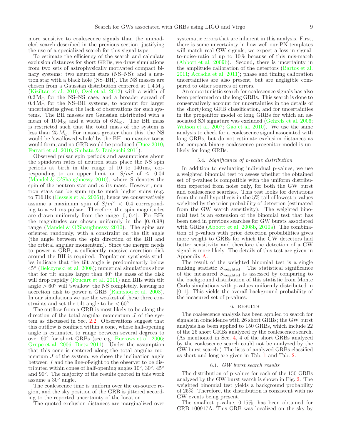more sensitive to coalescence signals than the unmodeled search described in the previous section, justifying the use of a specialized search for this signal type.

To estimate the efficiency of the search and calculate exclusion distances for short GRBs, we draw simulations from two sets of astrophysically motivated compact binary systems: two neutron stars (NS–NS); and a neutron star with a black hole (NS–BH). The NS masses are chosen from a Gaussian distribution centered at  $1.4 M_{\odot}$ [\(Kiziltan et al. 2010;](#page-18-78) [Ozel et al. 2012\)](#page-18-79) with a width of  $0.2 M_{\odot}$  for the NS–NS case, and a broader spread of  $0.4 M_{\odot}$  for the NS–BH systems, to account for larger uncertainties given the lack of observations for such systems. The BH masses are Gaussian distributed with a mean of  $10 M_{\odot}$  and a width of  $6 M_{\odot}$ . The BH mass is restricted such that the total mass of the system is less than 25  $M_{\odot}$ . For masses greater than this, the NS would be 'swallowed whole' by the BH, no massive torus would form, and no GRB would be produced [\(Duez 2010;](#page-17-41) [Ferrari et al. 2010;](#page-18-80) [Shibata & Taniguchi 2011\)](#page-18-50).

Observed pulsar spin periods and assumptions about the spindown rates of neutron stars place the NS spin periods at birth in the range of  $10$  to  $140 \,\text{ms}$ , corresponding to an upper limit on  $S/m^2$  of  $\leq 0.04$ (Mandel  $\&$  O'Shaughnessy 2010), where S denotes the spin of the neutron star and  $m$  its mass. However, neutron stars can be spun up to much higher spins (e.g. to 716 Hz [\(Hessels et al. 2006](#page-18-82))), hence we conservatively assume a maximum spin of  $S/m^2 < 0.4$  corresponding to a ∼1 ms pulsar. Therefore, the spin magnitudes are drawn uniformly from the range [0, 0.4]. For BHs the magnitudes are chosen uniformly in the [0, 0.98) range [\(Mandel & O'Shaughnessy 2010\)](#page-18-81). The spins are oriented randomly, with a constraint on the tilt angle (the angle between the spin direction of the BH and the orbital angular momentum). Since the merger needs to power a GRB, a sufficiently massive accretion disk around the BH is required. Population synthesis studies indicate that the tilt angle is predominantly below 45◦ [\(Belczynski et al. 2008\)](#page-17-42); numerical simulations show that for tilt angles larger than 40◦ the mass of the disk will drop rapidly [\(Foucart et al. 2011\)](#page-18-51) and BHs with tilt angle  $> 60°$  will 'swallow' the NS completely, leaving no accretion disk to power a GRB [\(Rantsiou et al. 2008\)](#page-18-83). In our simulations we use the weakest of these three constraints and set the tilt angle to be  $< 60°$ .

The outflow from a GRB is most likely to be along the direction of the total angular momentum  $J$  of the system as discussed in Sec. [2.2.](#page-4-3) Observations suggest that this outflow is confined within a cone, whose half-opening angle is estimated to range between several degrees to over 60◦ for short GRBs (see e.g. [Burrows et al. 2006;](#page-17-43) [Grupe et al. 2006;](#page-18-84) [Dietz 2011\)](#page-17-44). Under the assumption that this cone is centered along the total angular momentum  $J$  of the system, we chose the inclination angle between J and the line-of-sight to the observer to be distributed within cones of half-opening angles  $10^{\circ}$ ,  $30^{\circ}$ ,  $45^{\circ}$ and 90◦ . The majority of the results quoted in this work assume a  $30^{\circ}$  angle.

The coalescence time is uniform over the on-source region, and the sky position of the GRB is jittered according to the reported uncertainty of the location.

The quoted exclusion distances are marginalized over

systematic errors that are inherent in this analysis. First, there is some uncertainty in how well our PN templates will match real GW signals; we expect a loss in signalto-noise-ratio of up to 10% because of this mis-match [\(Abbott et al. 2009b\)](#page-17-45). Second, there is uncertainty in the amplitude calibration of the detectors [\(Bartos et al.](#page-17-35) [2011;](#page-17-35) [Accadia et al. 2011\)](#page-17-34); phase and timing calibration uncertainties are also present, but are negligible compared to other sources of errors.

An opportunistic search for coalescence signals has also been performed on the long GRBs. This search is done to conservatively account for uncertainties in the details of the short/long GRB classification, and for uncertainties in the progenitor model of long GRBs for which an associated SN signature was excluded [\(Gehrels et al. 2006](#page-18-64); [Watson et al. 2007;](#page-18-85) [Gao et al. 2010\)](#page-18-86). We use the same analysis to check for a coalescence signal associated with long GRBs, but do not estimate exclusion distances as the compact binary coalescence progenitor model is unlikely for long GRBs.

### 5.4. Significance of p-value distribution

In addition to evaluating individual p-values, we use a weighted binomial test to assess whether the obtained set of p-values is compatible with the uniform distribution expected from noise only, for both the GW burst and coalescence searches. This test looks for deviations from the null hypothesis in the 5% tail of lowest p-values weighted by the prior probability of detection (estimated from the GW search sensitivity). The weighted binomial test is an extension of the binomial test that has been used in previous searches for GW bursts associated with GRBs [\(Abbott et al. 2008b,](#page-17-8) [2010a\)](#page-17-11). The combination of p-values with prior detection probabilities gives more weight to GRBs for which the GW detectors had better sensitivity and therefore the detection of a GW signal is more likely. The details of this test are given in Appendix [A.](#page-12-1)

The result of the weighted binomial test is a single ranking statistic  $S_{weighted}$ . The statistical significance of the measured  $S_{weighted}$  is assessed by comparing to the background distribution of this statistic from Monte Carlo simulations with p-values uniformly distributed in [0, 1]. This yields the overall background probability of the measured set of p-values.

#### 6. RESULTS

<span id="page-8-0"></span>The coalescence analysis has been applied to search for signals in coincidence with 26 short GRBs; the GW burst analysis has been applied to 150 GRBs, which include 22 of the 26 short GRBs analyzed by the coalescence search. (As mentioned in Sec. [4,](#page-5-1) 4 of the short GRBs analyzed by the coalescence search could not be analyzed by the GW burst search.) The lists of analyzed GRBs classified as short and long are given in Tab. [1](#page-14-0) and Tab. [2.](#page-15-0)

## 6.1. GW burst search results

The distribution of p-values for each of the 150 GRBs analyzed by the GW burst search is shown in Fig. [2.](#page-9-1) The weighted binomial test yields a background probability of 25%. Therefore, the distribution is consistent with no GW events being present.

The smallest p-value, 0.15%, has been obtained for GRB 100917A. This GRB was localized on the sky by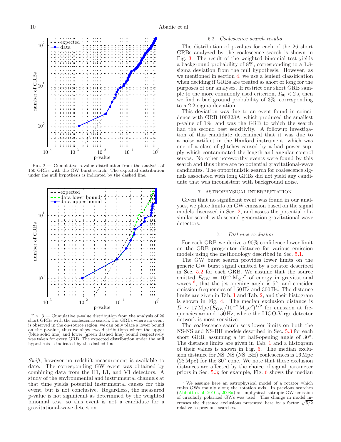

<span id="page-9-1"></span>Fig. 2.— Cumulative p-value distribution from the analysis of 150 GRBs with the GW burst search. The expected distribution under the null hypothesis is indicated by the dashed line.



<span id="page-9-2"></span>Fig. 3.— Cumulative p-value distribution from the analysis of 26 short GRBs with the coalescence search. For GRBs where no event is observed in the on-source region, we can only place a lower bound on the p-value, thus we show two distributions where the upper (blue solid line) and lower (green dashed line) bound respectively was taken for every GRB. The expected distribution under the null hypothesis is indicated by the dashed line.

Swift, however no redshift measurement is available to date. The corresponding GW event was obtained by combining data from the H1, L1, and V1 detectors. A study of the environmental and instrumental channels at that time yields potential instrumental causes for this event, but is not conclusive. Regardless, the measured p-value is not significant as determined by the weighted binomial test, so this event is not a candidate for a gravitational-wave detection.

## 6.2. Coalescence search results

The distribution of p-values for each of the 26 short GRBs analyzed by the coalescence search is shown in Fig. [3.](#page-9-2) The result of the weighted binomial test yields a background probability of 8%, corresponding to a 1.8 sigma deviation from the null hypothesis. However, as we mentioned in section [4,](#page-5-1) we use a lenient classification when deciding if GRBs are treated as short or long for the purposes of our analyses. If restrict our short GRB sample to the more commonly used criterion,  $T_{90} < 2$  s, then we find a background probability of 3%, corresponding to a 2.2-sigma deviation.

This deviation was due to an event found in coincidence with GRB 100328A, which produced the smallest p-value of 1%, and was the GRB to which the search had the second best sensitivity. A followup investigation of this candidate determined that it was due to a noise artifact in the Hanford instrument, which was one of a class of glitches caused by a bad power supply which contaminated the length and angular control servos. No other noteworthy events were found by this search and thus there are no potential gravitational-wave candidates. The opportunistic search for coalescence signals associated with long GRBs did not yield any candidate that was inconsistent with background noise.

# 7. ASTROPHYSICAL INTERPRETATION

<span id="page-9-0"></span>Given that no significant event was found in our analyses, we place limits on GW emission based on the signal models discussed in Sec. [2,](#page-4-0) and assess the potential of a similar search with second-generation gravitational-wave detectors.

## 7.1. Distance exclusion

For each GRB we derive a 90% confidence lower limit on the GRB progenitor distance for various emission models using the methodology described in Sec. [5.1.](#page-6-1)

The GW burst search provides lower limits on the generic GW burst signal emitted by a rotator described in Sec. [5.2](#page-7-2) for each GRB. We assume that the source emitted  $E_{\text{GW}} = 10^{-2} \text{M}_{\odot} \text{c}^2$  of energy in gravitational waves  $\frac{6}{5}$  $\frac{6}{5}$  $\frac{6}{5}$ , that the jet opening angle is  $5^\circ$ , and consider emission frequencies of 150 Hz and 300 Hz. The distance limits are given in Tab. [1](#page-14-0) and Tab. [2,](#page-15-0) and their histogram is shown in Fig. [4.](#page-10-0) The median exclusion distance is  $D \sim 17 \,\mathrm{Mpc} \, (E_{\rm GW}/10^{-2} \,\mathrm{M_{\odot} c^2})^{1/2}$  for emission at frequencies around 150 Hz, where the LIGO-Virgo detector network is most sensitive.

The coalescence search sets lower limits on both the NS-NS and NS-BH models described in Sec. [5.3](#page-7-1) for each short GRB, assuming a jet half-opening angle of 30°. The distance limits are given in Tab. [1](#page-14-0) and a histogram of their values is shown in Fig. [5.](#page-10-1) The median exclusion distance for NS–NS (NS–BH) coalescences is 16 Mpc  $(28 \text{ Mpc})$  for the  $30^{\circ}$  cone. We note that these exclusion distances are affected by the choice of signal parameter priors in Sec. [5.3;](#page-7-1) for example, Fig. [6](#page-11-0) shows the median

<span id="page-9-3"></span><sup>6</sup> We assume here an astrophysical model of a rotator which emits GWs mainly along the rotation axis. In previous searches [\(Abbott et al. 2010a](#page-17-11), [2008a](#page-17-13)) an unphysical isotropic GW emission of circularly polarized GWs was used. This change in model increases the distance exclusions presented here by a factor  $\sqrt{5/2}$ relative to previous searches.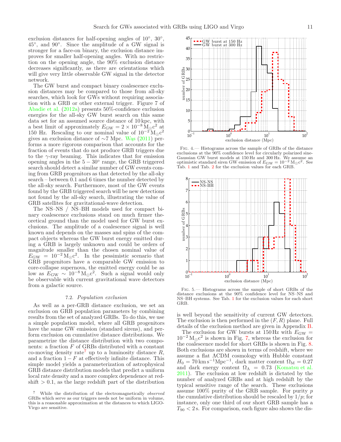exclusion distances for half-opening angles of 10<sup>°</sup>, 30<sup>°</sup>, 45◦ , and 90◦ . Since the amplitude of a GW signal is stronger for a face-on binary, the exclusion distance improves for smaller half-opening angles. With no restriction on the opening angle, the 90% exclusion distance decreases significantly, as there are orientations which will give very little observable GW signal in the detector network.

The GW burst and compact binary coalescence exclusion distances may be compared to those from all-sky searches, which look for GWs without requiring association with a GRB or other external trigger. Figure 7 of [Abadie et al.](#page-17-46) [\(2012a](#page-17-46)) presents 50%-confidence exclusion energies for the all-sky GW burst search on this same data set for an assumed source distance of 10 kpc, with a best limit of approximately  $E_{\text{GW}} = 2 \times 10^{-8} \,\mathrm{M}_{\odot}^{\circ} \text{c}^2$  at 150 Hz. Rescaling to our nominal value of  $10^{-2}$  M<sub>☉</sub> $c^2$ gives an exclusion distance of  $\sim$ 7 Mpc. [W](#page-18-70)as [\(2011\)](#page-18-70) performs a more rigorous comparison that accounts for the fraction of events that do not produce GRB triggers due to the  $\gamma$ -ray beaming. This indicates that for emission opening angles in the  $5-30^\circ$  range, the GRB triggered search should detect a similar number of GW events coming from GRB progenitors as that detected by the all-sky search – between 0.1 and 6 times the number detected by the all-sky search. Furthermore, most of the GW events found by the GRB triggered search will be new detections not found by the all-sky search, illustrating the value of GRB satellites for gravitational-wave detection.

The NS–NS / NS–BH models used for compact binary coalescence exclusions stand on much firmer theoretical ground than the model used for GW burst exclusions. The amplitude of a coalescence signal is well known and depends on the masses and spins of the compact objects whereas the GW burst energy emitted during a GRB is largely unknown and could be orders of magnitude smaller than the chosen nominal value of  $E_{\rm GW} = 10^{-2} \,\rm M_{\odot}c^2$ . In the pessimistic scenario that GRB progenitors have a comparable GW emission to core-collapse supernova, the emitted energy could be as low as  $E_{\text{GW}} \sim 10^{-8} \,\text{M}_{\odot} \text{c}^2$ . Such a signal would only be observable with current gravitational wave detectors from a galactic source.

## 7.2. Population exclusion

As well as a per-GRB distance exclusion, we set an exclusion on GRB population parameters by combining results from the set of analyzed GRBs. To do this, we use a simple population model, where all GRB progenitors have the same GW emission (standard sirens), and perform exclusion on cumulative distance distributions. We parametrize the distance distribution with two components: a fraction  $F$  of GRBs distributed with a constant co-moving density rate<sup>[7](#page-10-2)</sup> up to a luminosity distance  $R$ , and a fraction  $1 - F$  at effectively infinite distance. This simple model yields a parameterization of astrophysical GRB distance distribution models that predict a uniform local rate density and a more complex dependence at red- $\text{shift} > 0.1$ , as the large redshift part of the distribution



<span id="page-10-0"></span>Fig. 4.— Histograms across the sample of GRBs of the distance exclusions at the 90% confidence level for circularly polarized sine-Gaussian GW burst models at 150 Hz and 300 Hz. We assume an optimistic standard siren GW emission of  $E_{\rm GW} = 10^{-2} \text{ M}_{\odot} \text{c}^2$ . See Tab. [1](#page-14-0) and Tab. [2](#page-15-0) for the exclusion values for each GRB.



<span id="page-10-1"></span>Fig. 5.— Histograms across the sample of short GRBs of the distance exclusions at the 90% confidence level for NS–NS and NS–BH systems. See Tab. [1](#page-14-0) for the exclusion values for each short GRB.

is well beyond the sensitivity of current GW detectors. The exclusion is then performed in the  $(F, R)$  plane. Full details of the exclusion method are given in Appendix [B.](#page-13-0)

The exclusion for GW bursts at  $150 \text{ Hz}$  with  $E_{\text{GW}} =$  $10^{-2} M_{\odot} c^2$  is shown in Fig. [7,](#page-11-1) whereas the exclusion for the coalescence model for short GRBs is shown in Fig. [8.](#page-11-2) Both exclusions are shown in terms of redshift, where we assume a flat ΛCDM cosmology with Hubble constant  $H_0 = 70 \,\mathrm{km\,s^{-1}Mpc^{-1}}$ , dark matter content  $\Omega_\mathrm{M} = 0.27$ and dark energy content  $\Omega_{\Lambda} = 0.73$  [\(Komatsu et al.](#page-18-87) [2011\)](#page-18-87). The exclusion at low redshift is dictated by the number of analyzed GRBs and at high redshift by the typical sensitive range of the search. These exclusions assume  $100\%$  purity of the GRB sample. For purity p the cumulative distribution should be rescaled by  $1/p$ ; for instance, only one third of our short GRB sample has a  $T_{90}$  < 2 s. For comparison, each figure also shows the dis-

<span id="page-10-2"></span><sup>7</sup> While the distribution of the electromagnetically observed GRBs which serve as our triggers needs not be uniform in volume, this is a reasonable approximation at the distances to which LIGO-Virgo are sensitive.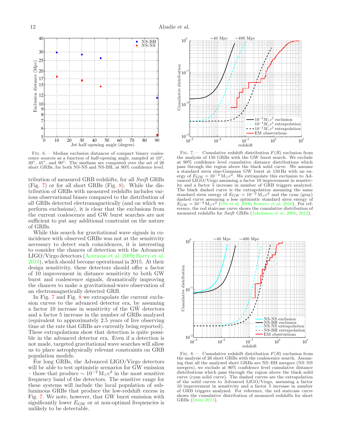NS-BH NS-NS



<span id="page-11-0"></span>Fig. 6.— Median exclusion distances of compact binary coalescence sources as a function of half-opening angle, sampled at  $10^{\circ}$ 30◦ , 45◦ , and 90◦ . The medians are computed over the set of 26 short GRBs, for both NS-NS and NS-BH, at 90% confidence level.

tribution of measured GRB redshifts, for all Swift GRBs (Fig. [7\)](#page-11-1) or for all short GRBs (Fig. [8\)](#page-11-2). While the distribution of GRBs with measured redshifts includes various observational biases compared to the distribution of all GRBs detected electromagnetically (and on which we perform exclusions), it is clear that the exclusions from the current coalescence and GW burst searches are not sufficient to put any additional constraint on the nature of GRBs.

While this search for gravitational wave signals in coincidence with observed GRBs was not at the sensitivity necessary to detect such coincidences, it is interesting to consider the chances of detection with the Advanced LIGO/Virgo detectors [\(Acernese et al. 2009](#page-17-47); [Harry et al.](#page-18-88) [2010\)](#page-18-88), which should become operational in 2015. At their design sensitivity, these detectors should offer a factor of 10 improvement in distance sensitivity to both GW burst and coalescence signals, dramatically improving the chances to make a gravitational-wave observation of an electromagnetically detected GRB.

In Fig. [7](#page-11-1) and Fig. [8](#page-11-2) we extrapolate the current exclusion curves to the advanced detector era, by assuming a factor 10 increase in sensitivity of the GW detectors and a factor 5 increase in the number of GRBs analyzed (equivalent to approximately 2.5 years of live observing time at the rate that GRBs are currently being reported). These extrapolations show that detection is quite possible in the advanced detector era. Even if a detection is not made, targeted gravitational wave searches will allow us to place astrophysically relevant constraints on GRB population models.

For long GRBs, the Advanced LIGO/Virgo detectors will be able to test optimistic scenarios for GW emission – those that produce  $\sim 10^{-2} \,\mathrm{M}_{\odot} \text{c}^2$  in the most sensitive frequency band of the detectors. The sensitive range for these systems will include the local population of subluminous GRBs that produce the low-redshift excess in Fig. [7.](#page-11-1) We note, however, that GW burst emission with significantly lower  $E_{\rm GW}$  or at non-optimal frequencies is unlikely to be detectable.



<span id="page-11-1"></span>FIG. 7.— Cumulative redshift distribution  $F(R)$  exclusion from the analysis of 150 GRBs with the GW burst search. We exclude at 90% confidence level cumulative distance distributions which pass through the region above the black solid curve. We assume a standard siren sine-Gaussian GW burst at 150 Hz with an energy of  $E_{\text{GW}} = 10^{-2} \text{ M}_{\odot} \text{c}^2$ . We extrapolate this exclusion to Advanced LIGO/Virgo assuming a factor 10 improvement in sensitivity and a factor 5 increase in number of GRB triggers analyzed. The black dashed curve is the extrapolation assuming the same standard siren energy of  $E_{\rm GW} = 10^{-2} \,\mathrm{M_{\odot}c^2}$  and the cyan (gray) dashed curve assuming a less optimistic standard siren energy of  $E_{\rm GW} = 10^{-4} \text{ M}_{\odot} \text{c}^2$  [\(Ott et al. 2006](#page-18-89); [Romero et al. 2010](#page-18-41)). For reference, the red staircase curve shows the cumulative distribution of measured redshifts for Swift GRBs [\(Jakobsson et al. 2006](#page-18-90), [2012\)](#page-18-91).



<span id="page-11-2"></span>FIG. 8.— Cumulative redshift distribution  $F(R)$  exclusion from the analysis of 26 short GRBs with the coalescence search. Assuming that all the analyzed short GRBs are NS–BH mergers (NS–NS mergers), we exclude at 90% confidence level cumulative distance distributions which pass through the region above the black solid curve (cyan solid curve). The dashed curves are the extrapolation of the solid curves to Advanced LIGO/Virgo, assuming a factor 10 improvement in sensitivity and a factor 5 increase in number of GRB triggers analyzed. For reference, the red staircase curve shows the cumulative distribution of measured redshifts for short GRBs [\(Dietz 2011](#page-17-44)).

40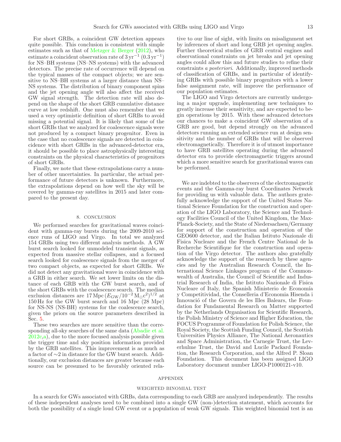For short GRBs, a coincident GW detection appears quite possible. This conclusion is consistent with simple estimates such as that of Metzger  $\&$  Berger [\(2012\)](#page-18-92), who estimate a coincident observation rate of  $3 \,\mathrm{yr}^{-1}$   $(0.3 \,\mathrm{yr}^{-1})$ for NS–BH systems (NS–NS systems) with the advanced detectors. The precise rate of occurrence will depend on the typical masses of the compact objects; we are sensitive to NS–BH systems at a larger distance than NS– NS systems. The distribution of binary component spins and the jet opening angle will also affect the received GW signal strength. The detection rate will also depend on the shape of the short GRB cumulative distance curve at low redshift. One must also remember that we used a very optimistic definition of short GRBs to avoid missing a potential signal. It is likely that some of the short GRBs that we analyzed for coalescence signals were not produced by a compact binary progenitor. Even in the case that no coalescence signals are detected in coincidence with short GRBs in the advanced-detector era, it should be possible to place astrophysically interesting constraints on the physical characteristics of progenitors of short GRBs.

Finally, we note that these extrapolations carry a number of other uncertainties. In particular, the actual performance of future detectors is unknown. Furthermore, the extrapolations depend on how well the sky will be covered by gamma-ray satellites in 2015 and later compared to the present day.

## 8. CONCLUSION

<span id="page-12-0"></span>We performed searches for gravitational waves coincident with gamma-ray bursts during the 2009-2010 science runs of LIGO and Virgo. In total we analyzed 154 GRBs using two different analysis methods. A GW burst search looked for unmodeled transient signals, as expected from massive stellar collapses, and a focused search looked for coalescence signals from the merger of two compact objects, as expected for short GRBs. We did not detect any gravitational wave in coincidence with a GRB in either search. We set lower limits on the distance of each GRB with the GW burst search, and of the short GRBs with the coalescence search. The median exclusion distances are  $17 \text{ Mpc} (E_{\text{GW}}/10^{-2} \text{ M}_{\odot} \text{c}^2)^{1/2}$  at 150 Hz for the GW burst search and 16 Mpc (28 Mpc) for NS-NS (NS-BH) systems for the coalescence search, given the priors on the source parameters described in Sec. [5.](#page-6-0)

These two searches are more sensitive than the corresponding all-sky searches of the same data [\(Abadie et al.](#page-17-48) [2012c](#page-17-48)[,a\)](#page-17-46), due to the more focused analysis possible given the trigger time and sky position information provided by the GRB satellites. This improvement is as much as a factor of ∼2 in distance for the GW burst search. Additionally, our exclusion distances are greater because each source can be presumed to be favorably oriented rela-

tive to our line of sight, with limits on misalignment set by inferences of short and long GRB jet opening angles. Further theoretical studies of GRB central engines and observational constraints on jet breaks and jet opening angles could allow this and future studies to refine their constraints a posteriori. Additionally, improved methods of classification of GRBs, and in particular of identifying GRBs with possible binary progenitors with a lower false assignment rate, will improve the performance of our population estimates.

The LIGO and Virgo detectors are currently undergoing a major upgrade, implementing new techniques to greatly increase their sensitivity, and are expected to begin operations by 2015. With these advanced detectors our chances to make a coincident GW observation of a GRB are good, but depend strongly on the advanced detectors running an extended science run at design sensitivity and the number of GRBs that will be observed electromagnetically. Therefore it is of utmost importance to have GRB satellites operating during the advanced detector era to provide electromagnetic triggers around which a more sensitive search for gravitational waves can be performed.

We are indebted to the observers of the electromagnetic events and the Gamma-ray burst Coordinates Network for providing us with valuable data. The authors gratefully acknowledge the support of the United States National Science Foundation for the construction and operation of the LIGO Laboratory, the Science and Technology Facilities Council of the United Kingdom, the Max-Planck-Society, and the State of Niedersachsen/Germany for support of the construction and operation of the GEO600 detector, and the Italian Istituto Nazionale di Fisica Nucleare and the French Centre National de la Recherche Scientifique for the construction and operation of the Virgo detector. The authors also gratefully acknowledge the support of the research by these agencies and by the Australian Research Council, the International Science Linkages program of the Commonwealth of Australia, the Council of Scientific and Industrial Research of India, the Istituto Nazionale di Fisica Nucleare of Italy, the Spanish Ministerio de Economía y Competitividad, the Conselleria d'Economia Hisenda i Innovació of the Govern de les Illes Balears, the Foundation for Fundamental Research on Matter supported by the Netherlands Organisation for Scientific Research, the Polish Ministry of Science and Higher Education, the FOCUS Programme of Foundation for Polish Science, the Royal Society, the Scottish Funding Council, the Scottish Universities Physics Alliance, The National Aeronautics and Space Administration, the Carnegie Trust, the Leverhulme Trust, the David and Lucile Packard Foundation, the Research Corporation, and the Alfred P. Sloan Foundation. This document has been assigned LIGO Laboratory document number LIGO-P1000121-v10.

#### APPENDIX

### WEIGHTED BINOMIAL TEST

<span id="page-12-1"></span>In a search for GWs associated with GRBs, data corresponding to each GRB are analyzed independently. The results of these independent analyses need to be combined into a single GW (non-)detection statement, which accounts for both the possibility of a single loud GW event or a population of weak GW signals. This weighted binomial test is an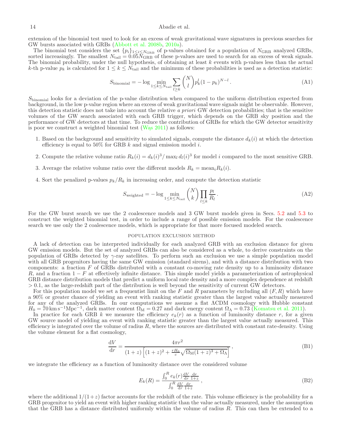# 14 Abadie et al.

extension of the binomial test used to look for an excess of weak gravitational wave signatures in previous searches for GW bursts associated with GRBs [\(Abbott et al. 2008b](#page-17-8), [2010a](#page-17-11)).

The binomial test considers the set  $\{p_i\}_{1\leq i\leq N_{\text{GRB}}}$  of p-values obtained for a population of  $N_{\text{GRB}}$  analyzed GRBs, sorted increasingly. The smallest  $N_{\text{tail}} = 0.05 \bar{N}_{\text{GRB}}$  of these p-values are used to search for an excess of weak signals. The binomial probability, under the null hypothesis, of obtaining at least  $k$  events with p-values less than the actual k-th p-value  $p_k$  is calculated for  $1 \leq k \leq N_{\text{tail}}$  and the minimum of these probabilities is used as a detection statistic:

$$
S_{\text{binomial}} = -\log \min_{1 \le k \le N_{\text{tail}}} \sum_{l \ge k} \binom{N}{l} p_k^l (1 - p_k)^{N - l} \,. \tag{A1}
$$

 $S_{\text{binomial}}$  looks for a deviation of the p-value distribution when compared to the uniform distribution expected from background, in the low p-value region where an excess of weak gravitational wave signals might be observable. However, this detection statistic does not take into account the relative a priori GW detection probabilities; that is the sensitive volumes of the GW search associated with each GRB trigger, which depends on the GRB sky position and the performance of GW detectors at that time. To reduce the contribution of GRBs for which the GW detector sensitivity is poor we construct a weighted binomial test  $(Was 2011)$  $(Was 2011)$  as follows:

- 1. Based on the background and sensitivity to simulated signals, compute the distance  $d_k(i)$  at which the detection efficiency is equal to 50% for GRB  $k$  and signal emission model  $i$ .
- 2. Compute the relative volume ratio  $R_k(i) = d_k(i)^3 / \max_l d_l(i)^3$  for model i compared to the most sensitive GRB.
- 3. Average the relative volume ratio over the different models  $R_k = \text{mean}_i R_k(i)$ .
- 4. Sort the penalized p-values  $p_k/R_k$  in increasing order, and compute the detection statistic

$$
S_{\text{weighted}} = -\log \min_{1 \le k \le N_{\text{tail}}} \binom{N}{k} \prod_{l \le k} \frac{p_l}{R_l} \,. \tag{A2}
$$

For the GW burst search we use the 2 coalescence models and 3 GW burst models given in Secs. [5.2](#page-7-2) and [5.3](#page-7-1) to construct the weighted binomial test, in order to include a range of possible emission models. For the coalescence search we use only the 2 coalescence models, which is appropriate for that more focused modeled search.

# POPULATION EXCLUSION METHOD

<span id="page-13-0"></span>A lack of detection can be interpreted individually for each analyzed GRB with an exclusion distance for given GW emission models. But the set of analyzed GRBs can also be considered as a whole, to derive constraints on the population of GRBs detected by  $\gamma$ -ray satellites. To perform such an exclusion we use a simple population model with all GRB progenitors having the same GW emission (standard sirens), and with a distance distribution with two components: a fraction  $F$  of GRBs distributed with a constant co-moving rate density up to a luminosity distance R, and a fraction  $1-F$  at effectively infinite distance. This simple model yields a parameterization of astrophysical GRB distance distribution models that predict a uniform local rate density and a more complex dependence at redshift > 0.1, as the large-redshift part of the distribution is well beyond the sensitivity of current GW detectors.

For this population model we set a frequentist limit on the F and R parameters by excluding all  $(F, R)$  which have a 90% or greater chance of yielding an event with ranking statistic greater than the largest value actually measured for any of the analyzed GRBs. In our computations we assume a flat ΛCDM cosmology with Hubble constant  $H_0 = 70 \text{ km s}^{-1} \text{Mpc}^{-1}$ , dark matter content  $\Omega_{\text{M}} = 0.27$  and dark energy content  $\Omega_{\Lambda} = 0.73$  [\(Komatsu et al. 2011\)](#page-18-87).

In practice for each GRB k we measure the efficiency  $e_k(r)$  as a function of luminosity distance r, for a given GW source model of yielding an event with ranking statistic greater than the largest value actually measured. This efficiency is integrated over the volume of radius  $R$ , where the sources are distributed with constant rate-density. Using the volume element for a flat cosmology,

$$
\frac{\mathrm{d}V}{\mathrm{d}r} = \frac{4\pi r^2}{(1+z)\left[ (1+z)^2 + \frac{rH_0}{c}\sqrt{\Omega_M(1+z)^3 + \Omega_\Lambda} \right]},\tag{B1}
$$

we integrate the efficiency as a function of luminosity distance over the considered volume

$$
E_k(R) = \frac{\int_0^R e_k(r) \frac{dV}{dr} \frac{dr}{1+z}}{\int_0^R \frac{dV}{dr} \frac{dr}{1+z}},
$$
\n(B2)

where the additional  $1/(1+z)$  factor accounts for the redshift of the rate. This volume efficiency is the probability for a GRB progenitor to yield an event with higher ranking statistic than the value actually measured, under the assumption that the GRB has a distance distributed uniformly within the volume of radius  $R$ . This can then be extended to a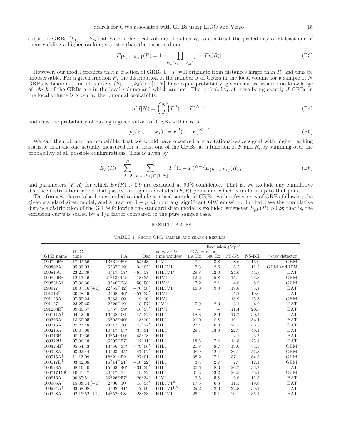subset of GRBs  $\{k_1, \ldots, k_M\}$  all within the local volume of radius R, to construct the probability of at least one of them yielding a higher ranking statistic than the measured one:

$$
E_{\{k_1,\dots,k_M\}}(R) = 1 - \prod_{k \in \{k_1,\dots,k_M\}} [1 - E_k(R)] \tag{B3}
$$

However, our model predicts that a fraction of GRBs  $1-F$  will originate from distances larger than R, and thus be unobservable. For a given fraction F, the distribution of the number J of GRBs in the local volume for a sample of N GRBs is binomial, and all subsets  $\{k_1, \ldots, k_J\}$  of  $\llbracket 1, N \rrbracket$  have equal probability, given that we assume no knowledge of which of the GRBs are in the local volume and which are not. The probability of there being exactly J GRBs in the local volume is given by the binomial probability,

$$
p(J|N) = \binom{N}{J} F^{J} (1 - F)^{N-J}, \tag{B4}
$$

and thus the probability of having a given subset of GRBs within  $R$  is

$$
p({k_1, ..., k_J}) = F^{J}(1 - F)^{N - J}.
$$
 (B5)

We can then obtain the probability that we would have observed a gravitational-wave signal with higher ranking statistic than the one actually measured for at least one of the GRBs, as a function of  $F$  and  $R$ , by summing over the probability of all possible configurations. This is given by

$$
E_F(R) = \sum_{J=0}^{N} \sum_{\{k_1,\dots k_J\} \subset [1,N]} F^{J} (1-F)^{N-J} E_{\{k_1,\dots,k_J\}}(R),
$$
 (B6)

and parameters  $(F, R)$  for which  $E_F(R) > 0.9$  are excluded at 90% confidence. That is, we exclude any cumulative distance distribution model that passes through an excluded  $(F, R)$  point and which is uniform up to that point.

This framework can also be expanded to include a mixed sample of GRBs, with a fraction p of GRBs following the given standard siren model, and a fraction  $1-p$  without any significant GW emission. In that case the cumulative distance distribution of the GRBs following the standard siren model is excluded whenever  $E_{pF}(R) > 0.9$ ; that is, the exclusion curve is scaled by a  $1/p$  factor compared to the pure sample case.

## RESULT TABLES

| TABLE 1 SHORT GRB SAMPLE AND SEARCH RESULTS |  |  |  |
|---------------------------------------------|--|--|--|
|---------------------------------------------|--|--|--|

<span id="page-14-0"></span>

|                      |                 |                                                | Exclusion (Mpc)  |                             |                    |                          |       |         |                        |
|----------------------|-----------------|------------------------------------------------|------------------|-----------------------------|--------------------|--------------------------|-------|---------|------------------------|
|                      | <b>UTC</b>      |                                                |                  | network &                   |                    | GW burst at              |       |         |                        |
| GRB name             | time            | RA                                             | Dec              | time window                 | $150\,\mathrm{Hz}$ | $300\,\mathrm{Hz}$       | NS-NS | $NS-BH$ | $\gamma$ -ray detector |
| $090720B^{\ddagger}$ | 17:02:56        | $13^{\rm h}31^{\rm m}59^{\rm s}$               | $-54^{\circ}48'$ | L1V1                        | 7.1                | 3.8                      | 8.6   | 16.0    | <b>GBM</b>             |
| 090802A              | 05:39:03        | $5^{\rm h}37^{\rm m}19^{\rm s}$                | $34^{\circ}05'$  | H1L1V1                      | 7.3                | 2.6                      | 6.5   | 11.3    | GBM and IPN            |
| 090815C              | 23:21:39        | $4^{\mathrm{h}}17^{\mathrm{m}}57^{\mathrm{s}}$ | $-65^{\circ}57'$ | $H1L1V1*$                   | 29.8               | 12.0                     | 24.6  | 44.3    | <b>BAT</b>             |
| 090820B <sup>‡</sup> | 12:13:16        | $21^{\rm h}13^{\rm m}02^{\rm s}$               | $-18^{\circ}35'$ | H1V1                        | 12.2               | 5.8                      | 15.1  | 26.3    | <b>GBM</b>             |
| 090831A <sup>‡</sup> | 07:36:36        | $9^{\rm h}40^{\rm m}23^{\rm s}$                | $50^{\circ}58'$  | $H1V1^{\dagger}$            | 7.2                | 2.1                      | 4.6   | 8.9     | <b>GBM</b>             |
| 090927               | $10:07:16 (+1)$ | $22^{\rm h}55^{\rm m}42^{\rm s}$               | $-70^{\circ}58'$ | H1L1V1                      | 16.0               | 9.0                      | 19.8  | 35.1    | <b>BAT</b>             |
| $091018^{\ddagger}$  | 20:48:19        | $2^{\rm h}08^{\rm m}46^{\rm s}$                | $-57^{\circ}33'$ | H1V1                        |                    |                          | 5.2   | 10.0    | <b>BAT</b>             |
| 091126A              | 07:59:24        | $5^{\rm h}33^{\rm m}00^{\rm s}$                | $-19^{\circ}16'$ | H1V1                        |                    | $\overline{\phantom{m}}$ | 13.9  | 25.3    | <b>GBM</b>             |
| $091127^{\ddagger}$  | 23:25:45        | $2^{\rm h}26^{\rm m}19^{\rm s}$                | $-18^{\circ}57'$ | $L1V1*$                     | 5.9                | 2.3                      | 3.1   | 4.9     | <b>BAT</b>             |
| 091208B <sup>‡</sup> | 09:49:57        | $1^{\rm h}57^{\rm m}39^{\rm s}$                | $16^{\circ}53'$  | H1V1                        |                    | $\overline{\phantom{m}}$ | 11.4  | 20.6    | <b>BAT</b>             |
| 100111A <sup>‡</sup> | 04:12:49        | $16^{\rm h}28^{\rm m}06^{\rm s}$               | 15°32'           | H1L1                        | 18.8               | 8.6                      | 17.7  | 30.4    | <b>BAT</b>             |
| 100206A              | 13:30:05        | $3^{\rm h}08^{\rm m}40^{\rm s}$                | $13^{\circ}10'$  | H1L1                        | 21.0               | 8.8                      | 19.1  | 34.1    | <b>BAT</b>             |
| 100213A              | 22:27:48        | $23^{\rm h}17^{\rm m}30^{\rm s}$               | $43^{\circ}22'$  | H1L1                        | 22.4               | 10.0                     | 24.5  | 46.3    | <b>BAT</b>             |
| 100216A              | 10:07:00        | $10^{\rm h}17^{\rm m}03^{\rm s}$               | 35°31'           | H1L1                        | 29.1               | 13.0                     | 22.7  | 40.1    | <b>BAT</b>             |
| 100316B              | 08:01:36        | $10^{\rm h}54^{\rm m}00^{\rm s}$               | $-45^{\circ}28'$ | H1L1                        |                    | $\overline{\phantom{m}}$ | 2.1   | 3.7     | <b>BAT</b>             |
| 100322B              | 07:06:18        | $5^{\rm h}05^{\rm m}57^{\rm s}$                | $42^{\circ}41'$  | H1L1                        | 18.5               | 7.4                      | 14.8  | 25.4    | <b>BAT</b>             |
| 100325B <sup>‡</sup> | 05:54:43        | $13^{\rm h}56^{\rm m}33^{\rm s}$               | $-79^{\circ}06'$ | H1L1                        | 21.8               | 8.7                      | 19.0  | 34.3    | <b>GBM</b>             |
| 100328A              | 03:22:44        | $10^{h}23^{m}45^{s}$                           | $47^{\circ}02'$  | H1L1                        | 28.9               | 12.4                     | 30.1  | 51.3    | <b>GBM</b>             |
| $100515A^{\ddagger}$ | 11:13:09        | $18^{\rm h}21^{\rm m}52^{\rm s}$               | $27^{\circ}01'$  | H1L1                        | 38.2               | 17.1                     | 37.1  | 64.5    | <b>GBM</b>             |
| 100517D <sup>‡</sup> | 03:42:08        | $16^{\rm h}14^{\rm m}21^{\rm s}$               | $-10^{\circ}22'$ | H1L1                        | 3.4                | 2.7                      | 7.7   | 12.1    | <b>GBM</b>             |
| 100628A              | 08:16:40        | $15^{\rm h}03^{\rm m}46^{\rm s}$               | $-31^{\circ}39'$ | H1L1                        | 20.6               | 8.3                      | 20.7  | 36.7    | <b>BAT</b>             |
| 100717446#           | 10:41:47        | $20^{\rm h}17^{\rm m}14^{\rm s}$               | $19^{\circ}32'$  | H1L1                        | 31.3               | 13.2                     | 26.5  | 46.1    | <b>GBM</b>             |
| 100816A              | 00:37:51        | $23^{\rm h}26^{\rm m}57^{\rm s}$               | 26°34'           | L1V1                        | 9.5                | 5.8                      | 6.6   | 11.5    | <b>BAT</b>             |
| 100905A              | $15:08:14(-1)$  | $2^{\rm h} 06^{\rm m} 10^{\rm s}$              | $14^{\circ}55'$  | $H1L1V1^{\diamond}$         | 17.3               | 6.3                      | 11.5  | 19.6    | <b>BAT</b>             |
| $100924A^{\ddagger}$ | 03:58:08        | $0^{\rm h}02^{\rm m}41^{\rm s}$                | $7^{\circ}00'$   | $H1L1V1^{\dagger \diamond}$ | 29.2               | 12.0                     | 22.8  | 39.4    | <b>BAT</b>             |
| 100928A              | $02:19:52 (+1)$ | $14^{\rm h}52^{\rm m}08^{\rm s}$               | $-28^{\circ}33'$ | $H1L1V1^{\diamond}$         | 26.1               | 10.1                     | 20.1  | 35.1    | <b>BAT</b>             |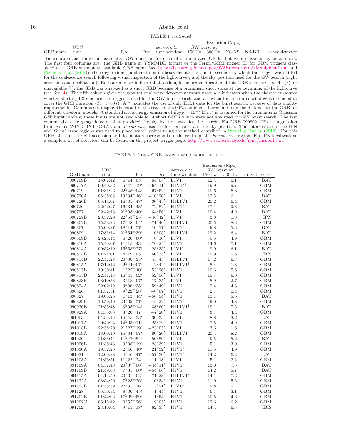16 Abadie et al.

TABLE 1 continued

|          |      |     | Exclusion (Mpc)                       |             |  |  |  |                        |
|----------|------|-----|---------------------------------------|-------------|--|--|--|------------------------|
|          | ÜTC  |     | network &                             | GW burst at |  |  |  |                        |
| GRB name | time | Dec | time window 150 Hz 300 Hz NS-NS NS-BH |             |  |  |  | $\gamma$ -ray detector |

Information and limits on associated GW emission for each of the analyzed GRBs that were classified by us as short. The first four columns are: the GRB name in YYMMDD format or the Fermi/GBM trigger ID for GBM triggers classified as a GRB without an available GRB name (see <http://heasarc.gsfc.nasa.gov/W3Browse/fermi/fermigbrst.html> and [Paciesas et al.](#page-18-93) [\(2012](#page-18-93))); the trigger time (numbers in parentheses denote the time in seconds by which the trigger was shifted for the coalescence search following visual inspection of the lightcurve); and the sky position used for the GW search (right ascension and declination). Both a  $\sharp$  and a  $\frac{1}{4}$  indicate that, although the formal duration of this GRB is longer than 4 s  $(\frac{1}{4})$ , or unavailable  $(\nmid \cdot)$ , the GRB was analyzed as a short GRB because of a prominent short spike at the beginning of the lightcurve (see Sec. [4\)](#page-5-1). The fifth column gives the gravitational wave detector network used; a \* indica window starting 120s before the trigger is used for the GW burst search, and a <sup>†</sup> when the on-source window is extended to cover the GRB duration ( $T_{90} > 60$ s). A <sup> $\diamond$ </sup> indicates the use of only H1L1 data for the burst requirements. Columns 6-9 display the result of the search: the 90% confidence lower limits on the distance to the GRB for different waveform models. A standard siren energy emission of  $E_{GW} = 10^{-2} \text{ M}_{\odot} \text{c}^2$  is assumed for the circular sine-Gaussian GW burst models; these limits are not available for 4 short GRBs which were not analyzed by GW burst search. The last column gives the  $\gamma$ -ray detector that provided the sky location used for the search. For GRB 090802, IPN triangulation from Konus-WIND, INTEGRAL and Fermi was used to further constrain the sky position. The intersection of the IPN and Fermi error regions was used to place search points using the method described in [Predoi & Hurley](#page-18-94) [\(2012](#page-18-94)). For this GRB, the quoted right ascension and declination corresponds to the centre of the Fermi error region. For IPN localizations a complete list of detectors can be found on the project trigger page, [http://www.ssl.berkeley.edu/ipn3/masterli.txt.](http://www.ssl.berkeley.edu/ipn3/masterli.txt)

| TABLE 2 LONG GRB SAMPLE AND SEARCH RESULTS |  |  |  |
|--------------------------------------------|--|--|--|
|--------------------------------------------|--|--|--|

<span id="page-15-0"></span>

|                   |                      |                                                                      |                                   |                          |             | Exclusion (Mpc)                   |                                      |
|-------------------|----------------------|----------------------------------------------------------------------|-----------------------------------|--------------------------|-------------|-----------------------------------|--------------------------------------|
| GRB name          | <b>UTC</b><br>time   | RA                                                                   | Dec                               | network &<br>time window | $150$ Hz    | GW burst at<br>$300\,\mathrm{Hz}$ |                                      |
| 090709B           | 15:07:42             | $6^{\rm h}14^{\rm m}05^{\rm s}$                                      | $64^{\circ}05'$                   | L1V1                     | 12.4        | 6.1                               | $\gamma$ -ray detector<br><b>BAT</b> |
| 090717A           | 00:49:32             | $5^{\rm h}47^{\rm m}19^{\rm s}$                                      | $-64^{\circ}11'$                  | $H1V1*^{\dagger}$        | 19.9        | 9.7                               | <b>GBM</b>                           |
| 090719            | 01:31:26             | $22^{\rm h}45^{\rm m}04^{\rm s}$                                     | $-67^{\circ}52'$                  | H1V1                     | 10.6        | 6.3                               | <b>GBM</b>                           |
| 090720A           | 06:38:08             | $13^{\rm h}34^{\rm m}46^{\rm s}$                                     | $-10^{\circ}20'$                  | L1V1                     | 12.5        | 6.4                               | <b>BAT</b>                           |
| 090726B           | 05:14:07             | $16^{\rm h}01^{\rm m}48^{\rm s}$                                     | $36^{\circ}45'$                   | H1L1V1                   | 20.2        | 6.4                               | <b>GBM</b>                           |
| 090726            | 22:42:27             | $16^{\mathrm{h}}34^{\mathrm{m}}43^{\mathrm{s}}$                      | $72^{\circ}52'$                   | $H1V1^{\dagger}$         | 17.1        | 9.3                               | <b>BAT</b>                           |
| 090727            | 22:42:18             | $21^{\rm h}03^{\rm m}40^{\rm s}$                                     | $64^{\circ}56'$                   | $L1V1^{\dagger}$         | 10.4        | 4.9                               | <b>BAT</b>                           |
| 090727B           | 23:32:29             | $22^{\rm h}53^{\rm m}25^{\rm s}$                                     | $-46^{\circ}42'$                  | L1V1                     | 3.3         | 1.8                               | <b>IPN</b>                           |
| 090802B           | 15:58:23             | $17^{\rm h}48^{\rm m}04^{\rm s}$                                     | $-71^{\circ}46'$                  | <b>H1L1V1</b>            | 20.5        | 8.3                               | <b>GBM</b>                           |
| 090807            | 15:00:27             | $18^{\rm h}14^{\rm m}57^{\rm s}$                                     | $10^{\circ}17'$                   | $H1V1^{\dagger}$         | 9.8         | $5.3\,$                           | <b>BAT</b>                           |
| 090809            | 17:31:14             | $21^{\rm h}54^{\rm m}39^{\rm s}$                                     | $-0^{\circ}05'$                   | H1L1V1                   | 19.2        | 6.4                               | <b>BAT</b>                           |
| 090809B           | 23:28:14             | $6^{\rm h}20^{\rm m}60^{\rm s}$                                      | $0^{\circ}10'$                    | L1V1                     | 9.5         | 4.9                               | <b>GBM</b>                           |
| 090810A           | 15:49:07             | $11h15m43s$                                                          | $-76^{\circ}24'$                  | H1V1                     | 14.6        | 7.1                               | <b>GBM</b>                           |
| 090814A           | 00:52:19             | $15^{\rm h}58^{\rm m}27^{\rm s}$                                     | $25^{\circ}35'$                   | $L1V1^{\dagger}$         | 9.9         | 6.1                               | <b>BAT</b>                           |
| 090814B           | 01:21:01             | $4^{\rm h}19^{\rm m}05^{\rm s}$                                      | $60^\circ 35'$                    | L1V1                     | 10.9        | 5.6                               | <b>IBIS</b>                          |
| 090814D           | 22:47:28             | $20^{\rm h}30^{\rm m}35^{\rm s}$                                     | $45^{\circ}43'$                   | H1L1V1                   | 17.2        | 6.3                               | <b>GBM</b>                           |
| 090815A           | 07:12:12             | $2^{\rm h}44^{\rm m}07^{\rm s}$                                      | $-2^{\circ}44'$                   | $H1L1V1^{\dagger}$       | 5.4         | 1.3                               | <b>GBM</b>                           |
| 090815B           | 10:30:41             | $1^{\rm h}25^{\rm m}40^{\rm s}$                                      | $53^{\circ}26'$                   | H1V1                     | 10.6        | 5.6                               | <b>GBM</b>                           |
| 090815D           | 22:41:46             | $16^{\rm h}45^{\rm m}02^{\rm s}$                                     | $52^{\circ}56'$                   | L1V1                     | 15.7        | 6.9                               | <b>GBM</b>                           |
| 090823B           | 03:10:53             | $3^{\rm h}18^{\rm m}07^{\rm s}$                                      | $-17^{\circ}35'$                  | L1V1                     | 5.9         | 2.7                               | <b>GBM</b>                           |
| 090824A           | 22:02:19             | $3^{\rm h}$ 06 <sup>m</sup> 35 <sup>s</sup>                          | $59^{\circ}49'$                   | H1V1                     | 9.4         | 4.8                               | <b>GBM</b>                           |
| 090826            | 01:37:31             | $9h22m28s$                                                           | $-0°07'$                          | H1V1                     | 2.7         | 0.4                               | <b>GBM</b>                           |
| 090827            | 19:06:26             | $1^{\rm h}13^{\rm m}44^{\rm s}$                                      | $-50^{\circ}54'$                  | H1V1                     | 15.1        | 8.6                               | <b>BAT</b>                           |
| 090829B           | 16:50:40             | $23^{\rm h}39^{\rm m}57^{\rm s}$                                     | $-9^{\circ}22'$                   | $H1V1^{\dagger}$         | 9.0         | 4.8                               | <b>GBM</b>                           |
| 090926B           | 21:55:48             | $3^{\rm h}05^{\rm m}14^{\rm s}$                                      | $-38^{\circ}60'$                  | $H1L1V1^{\dagger}$       | 19.1        | 7.5                               | <b>BAT</b>                           |
| 090929A           | 04:33:03             | $3^{\rm h}26^{\rm m}47^{\rm s}$                                      | $-7^{\circ}20'$                   | H1V1                     | 8.7         | 4.4                               | <b>GBM</b>                           |
| 091003            | 04:35:45             | $16^{\rm h}45^{\rm m}33^{\rm s}$                                     | $36^{\circ}35'$                   | L1V1                     | 8.8         | $3.2\,$                           | <b>LAT</b>                           |
| 091017A           | 20:40:24             | $14^{\rm h}03^{\rm m}11^{\rm s}$                                     | $25^{\circ}29'$                   | H1V1                     | 7.5         | 4.9                               | <b>GBM</b>                           |
| 091018B           | 22:58:20             | $21^{\rm h}27^{\rm m}19^{\rm s}$                                     | $-23^{\circ}05'$                  | L1V1                     | 3.6         | $1.6\,$                           | <b>GBM</b>                           |
| 091019A<br>091020 | 18:00:40<br>21:36:44 | $15^{\rm h}04^{\rm m}07^{\rm s}$<br>$11^{\rm h}42^{\rm m}54^{\rm s}$ | $80^\circ 20'$<br>$50^{\circ}59'$ | H1L1V1                   | 20.4        | 8.2                               | <b>GBM</b><br><b>BAT</b>             |
| 091026B           | 11:38:48             | $9^{\rm h}08^{\rm m}19^{\rm s}$                                      | $-23^{\circ}39'$                  | L1V1<br>H1V1             | 9.5         | 5.2                               | <b>GBM</b>                           |
| 091030A           | 19:52:26             | $2^{\rm h}46^{\rm m}40^{\rm s}$                                      | $21^{\circ}32'$                   | $H1V1^{\dagger}$         | 5.1<br>11.5 | 3.0<br>4.9                        | <b>GBM</b>                           |
| 091031            | 12:00:28             | $4^{\rm h}46^{\rm m}47^{\rm s}$                                      | $-57^{\circ}30'$                  | $H1V1^{\dagger}$         | 14.2        | 6.2                               | LAT                                  |
| 091103A           | 21:53:51             | $11^{\rm h}22^{\rm m}24^{\rm s}$                                     | $11^{\circ}18'$                   | L1V1                     | 5.1         | $2.2\,$                           | <b>GBM</b>                           |
| 091109A           | 04:57:43             | $20^{\rm h}37^{\rm m}00^{\rm s}$                                     | $-44^{\circ}11'$                  | H1V1                     | 13.0        | 7.3                               | <b>BAT</b>                           |
| 091109B           | 21:49:03             | $7^{\rm h}31^{\rm m}00^{\rm s}$                                      | $-54^{\circ}06'$                  | H1V1                     | 14.2        | 8.7                               | <b>BAT</b>                           |
| 091115A           | 04:14:50             | $20^{\rm h}31^{\rm m}02^{\rm s}$                                     | $71^\circ 28'$                    | $H1L1V1*$                | 14.1        | $7.2\,$                           | <b>GBM</b>                           |
| 091122A           | 03:54:20             | $7^{\rm h}23^{\rm m}26^{\rm s}$                                      | 0°34'                             | H1V1                     | 11.9        | 5.5                               | <b>GBM</b>                           |
| 091123B           | 01:55:59             | $22^{\rm h}31^{\rm m}16^{\rm s}$                                     | $13^{\circ}21'$                   | $L1V1*$                  | 9.8         | 5.4                               | <b>GBM</b>                           |
| 091128            | 06:50:34             | $8^{\rm h}30^{\rm m}45^{\rm s}$                                      | $1^{\circ}44'$                    | H1V1                     | 6.7         | 3.1                               | <b>GBM</b>                           |
| 091202B           | 01:44:06             | $17^{\rm h}09^{\rm m}59^{\rm s}$                                     | $-1^{\circ}54'$                   | H1V1                     | 10.5        | 4.6                               | <b>GBM</b>                           |
| 091202C           | 05:15:42             | $0^{\rm h}55^{\rm m}26^{\rm s}$                                      | $9^{\circ}05'$                    | H1V1                     | 12.6        | 6.2                               | <b>GBM</b>                           |
| 091202            | 23:10:04             | $9^{\rm h}15^{\rm m}18^{\rm s}$                                      | $62^\circ33'$                     | H1V1                     | 14.4        | 6.5                               | <b>IBIS</b>                          |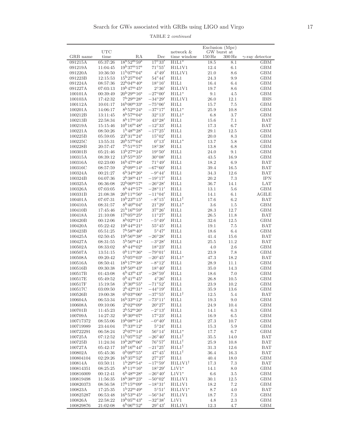TABLE 2 continued

|                      |                      |                                                                     |                                      |                            | Exclusion (Mpc)                   |                    |                          |
|----------------------|----------------------|---------------------------------------------------------------------|--------------------------------------|----------------------------|-----------------------------------|--------------------|--------------------------|
| GRB name             | <b>UTC</b><br>time   | RA                                                                  | Dec                                  | network &<br>time window   | GW burst at<br>$150\,\mathrm{Hz}$ | $300\,\mathrm{Hz}$ | $\gamma$ -ray detector   |
| 091215A              | 05:37:26             | $18^{\rm h}52^{\rm m}59^{\rm s}$                                    | $17^\circ 33'$                       | $H1L1*$                    | 18.5                              | 8.1                | GBM                      |
| 091219A              | 11:04:45             | $19^{\rm h}37^{\rm m}57^{\rm s}$                                    | $71^\circ 55'$                       | H1L1V1                     | 12.4                              | 6.1                | <b>GBM</b>               |
| 091220A              | 10:36:50             | $11^{\rm h}07^{\rm m}04^{\rm s}$                                    | $4^{\circ}49'$                       | H1L1V1                     | 21.0                              | 8.6                | <b>GBM</b>               |
| 091223B              | 12:15:53             | $15^{\rm h}25^{\rm m}04^{\rm s}$                                    | $54^{\circ}44'$                      | H1L1                       | 24.3                              | 9.9                | <b>GBM</b>               |
| 091224A              | 08:57:36             | $22^{\rm h}04^{\rm m}40^{\rm s}$                                    | $18^{\circ}16'$                      | H1L1                       | 16.4                              | 6.4                | <b>GBM</b>               |
| 091227A              | 07:03:13             | $19^{\rm h}47^{\rm m}45^{\rm s}$                                    | $2^{\circ}36'$                       | H1L1V1                     | 19.7                              | 8.6                | <b>GBM</b>               |
| 100101A              | 00:39:49             | $20^{\rm h}29^{\rm m}16^{\rm s}$                                    | $-27^{\circ}00'$                     | $H1L1*$                    | 9.1                               | 4.5                | <b>GBM</b>               |
| 100103A              | 17:42:32             | $7^{\rm h}29^{\rm m}28^{\rm s}$                                     | $-34^{\circ}29'$                     | H1L1V1                     | 26.0                              | 12.1               | <b>IBIS</b>              |
| 100112A<br>100201A   | 10:01:17<br>14:06:17 | $16^{\rm h}00^{\rm m}33^{\rm s}$<br>$8^{\rm h}52^{\rm m}24^{\rm s}$ | $-75^{\circ}06'$<br>$-37^{\circ}17'$ | H1L1<br>$H1L1*$            | 15.7                              | 7.5<br>10.8        | <b>GBM</b><br><b>GBM</b> |
| 100212B              | 13:11:45             | $8^{\rm h}57^{\rm m}04^{\rm s}$                                     | $32^{\circ}13'$                      | $H1L1*$                    | 25.9<br>6.8                       | 3.7                | <b>GBM</b>               |
| 100213B              | 22:58:34             | $8^{\rm h}17^{\rm m}16^{\rm s}$                                     | $43^{\circ}28'$                      | H1L1                       | 15.6                              | 7.1                | <b>BAT</b>               |
| 100219A              | 15:15:46             | $10^{\rm h}16^{\rm m}48^{\rm s}$                                    | $-12^{\circ}33'$                     | H1L1                       | 17.3                              | 6.7                | <b>BAT</b>               |
| 100221A              | 08:50:26             | $1^{\rm h}48^{\rm m}28^{\rm s}$                                     | $-17^{\circ}25'$                     | H1L1                       | 29.1                              | 12.5               | <b>GBM</b>               |
| 100225B              | 05:59:05             | $23^{\rm h}31^{\rm m}24^{\rm s}$                                    | $15^{\circ}02'$                      | H1L1                       | 20.0                              | 8.3                | <b>GBM</b>               |
| 100225C              | 13:55:31             | $20^{\rm h}57^{\rm m}04^{\rm s}$                                    | $0^{\circ}13'$                       | $H1L1*$                    | 13.7                              | 5.8                | <b>GBM</b>               |
| 100228B              | 20:57:47             | $7^{\rm h}51^{\rm m}57^{\rm s}$                                     | $18^{\circ}38'$                      | H1L1                       | 13.8                              | 6.8                | <b>GBM</b>               |
| 100301B              | 05:21:46             | $13^{\rm h}27^{\rm m}24^{\rm s}$                                    | $19^{\circ}50'$                      | H1L1                       | 24.0                              | 9.1                | <b>GBM</b>               |
| 100315A              | 08:39:12             | $13^{\rm h}55^{\rm m}35^{\rm s}$                                    | $30^{\circ}08'$                      | H1L1                       | 43.5                              | 16.9               | <b>GBM</b>               |
| 100316A              | 02:23:00             | $16^{\rm h}47^{\rm m}48^{\rm s}$<br>$2^{\rm h}09^{\rm m}14^{\rm s}$ | $71^{\circ}49'$<br>$-67^{\circ}60'$  | H1L1                       | 18.2                              | 6.9                | <b>BAT</b>               |
| 100316C<br>100324A   | 08:57:59<br>00:21:27 | $6^{\rm h}34^{\rm m}26^{\rm s}$                                     | $-9^{\circ}44'$                      | H1L1<br>H1L1               | 39.4                              | 16.5<br>12.6       | <b>BAT</b><br><b>BAT</b> |
| 100324B              | 04:07:36             | $2^{\rm h}38^{\rm m}41^{\rm s}$                                     | $-19^{\circ}17'$                     | H1L1                       | 34.3<br>20.2                      | 7.3                | <b>IPN</b>               |
| 100325A              | 06:36:08             | $22^{\rm h}00^{\rm m}57^{\rm s}$                                    | $-26^{\circ}28'$                     | H1L1                       | 36.7                              | 14.1               | <b>LAT</b>               |
| 100326A              | 07:03:05             | $8^{\rm h}44^{\rm m}57^{\rm s}$                                     | $-28^{\circ}11'$                     | H1L1                       | 13.1                              | 5.6                | <b>GBM</b>               |
| 100331B              | 21:08:38             | $20^{\rm h}11^{\rm m}56^{\rm s}$                                    | $-11^{\circ}04'$                     | H1L1                       | 14.1                              | 6.1                | <b>AGILE</b>             |
| 100401A              | 07:07:31             | $19^{\rm h}23^{\rm m}15^{\rm s}$                                    | $-8^{\circ}15'$                      | $H1L1^{\dagger}$           | 17.6                              | 6.2                | <b>BAT</b>               |
| 100410A              | 08:31:57             | $8^{\rm h}40^{\rm m}04^{\rm s}$                                     | $21^{\circ}29'$                      | $H1L1*$                    | 3.6                               | 1.5                | <b>GBM</b>               |
| 100410B              | 17:45:46             | $21^{\rm h}16^{\rm m}59^{\rm s}$                                    | $37^{\circ}26'$                      | H1L1                       | 28.3                              | 12.7               | <b>GBM</b>               |
| 100418A              | 21:10:08             | $17^{\rm h}05^{\rm m}25^{\rm s}$                                    | $11^{\circ}27'$                      | H1L1                       | 26.5                              | 11.8               | <b>BAT</b>               |
| 100420B              | 00:12:06             | $8^{\rm h}02^{\rm m}11^{\rm s}$                                     | $-5^{\circ}49'$                      | H1L1                       | 32.6                              | 12.5               | <b>GBM</b>               |
| 100420A              | 05:22:42             | $19^{\rm h}44^{\rm m}21^{\rm s}$                                    | $55^{\circ}45'$                      | H1L1                       | 19.1                              | 7.5                | <b>BAT</b>               |
| 100423B              | 05:51:25             | $7^{\rm h}58^{\rm m}40^{\rm s}$                                     | $5^{\circ}47'$<br>$-26^{\circ}28'$   | H1L1                       | 18.6                              | 6.4                | <b>GBM</b>               |
| 100425A<br>100427A   | 02:50:45<br>08:31:55 | $19^{\rm h}56^{\rm m}38^{\rm s}$<br>$5^{\rm h}56^{\rm m}41^{\rm s}$ | $-3^{\circ}28'$                      | H1L1<br>H1L1               | 41.4<br>25.5                      | 15.6<br>11.2       | <b>BAT</b><br><b>BAT</b> |
| 100502A              | 08:33:02             | $8^{\rm h}44^{\rm m}02^{\rm s}$                                     | $18^{\circ}23'$                      | H1L1                       | 4.0                               | $2.6\,$            | <b>GBM</b>               |
| 100507A              | 13:51:15             | $0^{\rm h}11^{\rm m}36^{\rm s}$                                     | $-79^{\circ}01'$                     | H1L1                       | 23.9                              | 7.8                | <b>GBM</b>               |
| 100508A              | 09:20:42             | $5^{\rm h}05^{\rm m}03^{\rm s}$                                     | $-20^{\circ}45'$                     | $H1L1*$                    | 47.3                              | 18.2               | <b>BAT</b>               |
| 100516A              | 08:50:41             | $18^{\rm h}17^{\rm m}38^{\rm s}$                                    | $-8^{\circ}12'$                      | H1L1                       | 28.9                              | 11.1               | <b>GBM</b>               |
| 100516B              | 09:30:38             | $19^{\rm h}50^{\rm m}43^{\rm s}$                                    | $18^{\circ}40'$                      | H1L1                       | 35.0                              | 14.3               | <b>GBM</b>               |
| 100517B              | 01:43:08             | $6^{\rm h}43^{\rm m}43^{\rm s}$                                     | $-28^{\circ}59'$                     | H1L1                       | 18.6                              | 7.0                | <b>GBM</b>               |
| 100517E              | 05:49:52             | $0^{\rm h}41^{\rm m}45^{\rm s}$                                     | $4^{\circ}26'$                       | H1L1                       | 26.8                              | 10.5               | <b>GBM</b>               |
| 100517F              | 15:19:58             | $3h30m55s$                                                          | $-71^{\circ}52'$                     | H1L1                       | 23.9                              | 10.2               | <b>GBM</b>               |
| 100517C              | 03:09:50             | $2^{\rm h}42^{\rm m}31^{\rm s}$                                     | $-44^{\circ}19'$                     | H1L1                       | 35.9                              | 13.6               | <b>GBM</b>               |
| 100526B              | 19:00:38             | $0^{\rm h}03^{\rm m}06^{\rm s}$<br>$16^{h}33^{m}12^{s}$             | $-37^{\circ}55'$<br>$-73^{\circ}11'$ | $H1L1^{\dagger}$<br>H1L1   | 12.5                              | 5.4                | <b>BAT</b>               |
| 100604A<br>100608A   | 06:53:34<br>09:10:06 | $2^{\rm h}02^{\rm m}09^{\rm s}$                                     | $20^{\circ}27'$                      | H1L1                       | 19.3<br>24.9                      | 9.0<br>10.4        | GBM<br><b>GBM</b>        |
| 100701B              | 11:45:23             | $2^{\rm h}52^{\rm m}26^{\rm s}$                                     | $-2^{\circ}13'$                      | H1L1                       | 14.1                              | 6.3                | <b>GBM</b>               |
| 100709A              | 14:27:32             | $9^{\rm h}30^{\rm m}07^{\rm s}$                                     | $17^{\circ}23'$                      | H1L1                       | 16.9                              | $6.5\,$            | <b>GBM</b>               |
| 100717372            | 08:55:06             | $19^{\rm h}08^{\rm m}14^{\rm s}$                                    | $-0^{\circ}40'$                      | H1L1                       | 27.3                              | 10.7               | <b>GBM</b>               |
| 100719989            | 23:44:04             | $7^{\rm h}33^{\rm m}12^{\rm s}$                                     | 5°24'                                | H1L1                       | 15.3                              | 5.9                | <b>GBM</b>               |
| 100722291            | 06:58:24             | $2^{\rm h}07^{\rm m}14^{\rm s}$                                     | 56°14'                               | $H1L1*$                    | 17.7                              | 6.7                | <b>GBM</b>               |
| 100725A              | 07:12:52             | $11^{\rm h}05^{\rm m}52^{\rm s}$                                    | $-26^{\circ}40'$                     | $H1L1^{\dagger}$           | 35.5                              | 14.0               | <b>BAT</b>               |
| 100725B              | 11:24:34             | $19^{\rm h}20^{\rm m}06^{\rm s}$                                    | 76°57'                               | $H1L1^{\dagger}$           | 25.9                              | 10.8               | <b>BAT</b>               |
| 100727A              | 05:42:17             | $10^{\rm h}16^{\rm m}44^{\rm s}$                                    | $-21^{\circ}25'$                     | $H1L1^{\dagger}$           | 31.3                              | 12.6               | <b>BAT</b>               |
| 100802A              | 05:45:36             | $0h09m55s$                                                          | $47^{\circ}45'$                      | $H1L1^{\dagger}$           | 36.4                              | 16.3               | <b>BAT</b>               |
| 100804104<br>100814A | 02:29:26<br>03:50:11 | $16^{\rm h}35^{\rm m}52^{\rm s}$<br>$1^{\rm h}29^{\rm m}54^{\rm s}$ | $27^{\circ}27'$<br>$-17^{\circ}59'$  | H1L1<br>$H1L1V1^{\dagger}$ | 40.4<br>17.3                      | 18.0               | <b>GBM</b><br><b>BAT</b> |
| 100814351            | 08:25:25             | $8^{\rm h}11^{\rm m}16^{\rm s}$                                     | $18^{\circ}29'$                      | $L1V1*$                    | 14.1                              | 7.3<br>8.0         | <b>GBM</b>               |
| 100816009            | 00:12:41             | $6^{\rm h}48^{\rm m}28^{\rm s}$                                     | $-26^{\circ}40'$                     | $L1V1*$                    | 6.6                               | 3.5                | GBM                      |
| 100819498            | 11:56:35             | $18^{\rm h}38^{\rm m}23^{\rm s}$                                    | $-50^{\circ}02'$                     | H1L1V1                     | 30.1                              | 12.5               | <b>GBM</b>               |
| 100820373            | 08:56:58             | $17^{\rm h}15^{\rm m}09^{\rm s}$                                    | $-18^{\circ}31'$                     | H1L1V1                     | 18.2                              | 7.2                | <b>GBM</b>               |
| 100823A              | 17:25:35             | $1^{\rm h}22^{\rm m}49^{\rm s}$                                     | $5^{\circ}51'$                       | $H1L1V1*$                  | 8.7                               | 4.0                | <b>BAT</b>               |
| 100825287            | 06:53:48             | $16^{\rm h}53^{\rm m}45^{\rm s}$                                    | $-56^{\circ}34'$                     | H1L1V1                     | 18.7                              | 7.3                | <b>GBM</b>               |
| 100826A              | 22:58:22             | $19^{\rm h}05^{\rm m}43^{\rm s}$                                    | $-32^{\circ}38'$                     | L1V1                       | 4.8                               | $2.3\,$            | <b>GBM</b>               |
| 100829876            | 21:02:08             | $6^{\rm h}06^{\rm m}52^{\rm s}$                                     | $29^{\circ}43'$                      | H1L1V1                     | 12.3                              | 4.7                | GBM                      |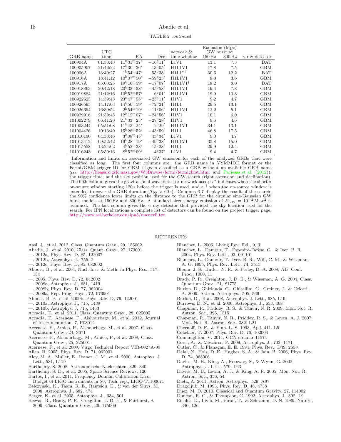TABLE 2 continued

|           | <b>UTC</b> |                                  |                  | network &          |          | Exclusion (Mpc)<br>GW burst at |                        |
|-----------|------------|----------------------------------|------------------|--------------------|----------|--------------------------------|------------------------|
| GRB name  | time       | RA                               | Dec              | time window        | $150$ Hz | 300 Hz                         | $\gamma$ -ray detector |
| 100904A   | 01:33:43   | $11^{\rm h}31^{\rm m}37^{\rm s}$ | $-16^{\circ}11'$ | L1V1               | 13.1     | 7.3                            | <b>BAT</b>             |
| 100905907 | 21:46:22   | $17^{\rm h}30^{\rm m}36^{\rm s}$ | $13^{\circ}05'$  | H1L1V1             | 17.8     | 7.5                            | <b>GBM</b>             |
| 100906A   | 13:49:27   | $1^{\rm h}54^{\rm m}47^{\rm s}$  | 55°38'           | $H1L1*^{\dagger}$  | 30.5     | 12.2                           | <b>BAT</b>             |
| 100916A   | 18:41:12   | $10^{h}07^{m}50^{s}$             | $-59^{\circ}23'$ | H1L1V1             | 8.3      | 3.6                            | <b>GBM</b>             |
| 100917A   | 05:03:25   | $19^{\rm h}16^{\rm m}59^{\rm s}$ | $-17^{\circ}07'$ | $H1L1V1^{\dagger}$ | 18.2     | 8.0                            | BAT                    |
| 100918863 | 20:42:18   | $20^{\rm h}33^{\rm m}38^{\rm s}$ | $-45^{\circ}58'$ | H1L1V1             | 19.4     | 7.8                            | <b>GBM</b>             |
| 100919884 | 21:12:16   | $10^{\rm h}52^{\rm m}57^{\rm s}$ | $6^{\circ}01'$   | H1L1V1             | 19.9     | 10.3                           | <b>GBM</b>             |
| 100922625 | 14:59:43   | $23^{\rm h}47^{\rm m}55^{\rm s}$ | $-25^{\circ}11'$ | H1V1               | 9.2      | 4.7                            | <b>GBM</b>             |
| 100926595 | 14:17:03   | $14^{\rm h}50^{\rm m}59^{\rm s}$ | $-72^{\circ}21'$ | H1L1               | 29.5     | 13.1                           | <b>GBM</b>             |
| 100926694 | 16:39:54   | $2^{\rm h}54^{\rm m}19^{\rm s}$  | $-11^{\circ}06'$ | H1L1V1             | 12.2     | 5.1                            | <b>GBM</b>             |
| 100929916 | 21:59:45   | $12^{\rm h}12^{\rm m}07^{\rm s}$ | $-24^{\circ}56'$ | H1V1               | 10.1     | 6.0                            | <b>GBM</b>             |
| 101002279 | 06:41:26   | $21^{\rm h}33^{\rm m}23^{\rm s}$ | $-27^{\circ}28'$ | H1V1               | 9.5      | 4.6                            | <b>GBM</b>             |
| 101003244 | 05:51:08   | $11^{\rm h}43^{\rm m}24^{\rm s}$ | $2^{\circ}29'$   | H1L1V1             | 34.1     | 13.1                           | <b>GBM</b>             |
| 101004426 | 10:13:49   | $15^{\rm h}28^{\rm m}52^{\rm s}$ | $-43^{\circ}59'$ | H1L1               | 46.8     | 17.5                           | <b>GBM</b>             |
| 101010190 | 04:33:46   | $3^{\rm h}08^{\rm m}45^{\rm s}$  | $43^\circ34'$    | L1V1               | 9.0      | 4.7                            | <b>GBM</b>             |
| 101013412 | 09:52:42   | $19^{h}28^{m}19^{s}$             | $-49^{\circ}38'$ | H1L1V1             | 35.8     | 15.0                           | <b>GBM</b>             |
| 101015558 | 13:24:02   | $4^{\rm h}52^{\rm m}38^{\rm s}$  | 15°28'           | H1L1               | 29.9     | 12.4                           | <b>GBM</b>             |
| 101016243 | 05:50:16   | $8^{\rm h}52^{\rm m}09^{\rm s}$  | $-4^{\circ}37'$  | L1V1               | 9.4      | 4.7                            | <b>GBM</b>             |

Information and limits on associated GW emission for each of the analyzed GRBs that were classified as long. The first four columns are: the GRB name in YYMMDD format or the Fermi/GBM trigger ID for GBM triggers classified as a GRB without an available GRB name (see <http://heasarc.gsfc.nasa.gov/W3Browse/fermi/fermigbrst.html> and [Paciesas et al.](#page-18-93) [\(2012\)](#page-18-93)); the trigger time; and the sky position used for the GW search (right ascension and declination). The fifth column gives the gravitational wave detector network used; a <sup>∗</sup> indicates when the shorter on-source window starting 120 s before the trigger is used, and a  $\dagger$  when the on-source window is extended to cover the GRB duration ( $T_{90} > 60$  s). Columns 6-7 display the result of the search: the 90% confidence lower limits on the distance to the GRB for the circular sine-Gaussian GW burst models at 150 Hz and 300 Hz. A standard siren energy emission of  $E_{\rm GW} = 10^{-2} M_{\odot} c^2$  is assumed. The last column gives the  $\gamma$ -ray detector that provided the sky location used for the search. For IPN localizations a complete list of detectors can be found on the project trigger page, [http://www.ssl.berkeley.edu/ipn3/masterli.txt.](http://www.ssl.berkeley.edu/ipn3/masterli.txt)

#### REFERENCES

- <span id="page-17-31"></span>Aasi, J., et al. 2012, Class. Quantum Grav., 29, 155002
- <span id="page-17-17"></span>Abadie, J., et al. 2010, Class. Quant, Grav., 27, 173001
- <span id="page-17-46"></span>—. 2012a, Phys. Rev. D, 85, 122007
- <span id="page-17-14"></span>—. 2012b, Astrophys. J., 755, 2
- <span id="page-17-48"></span>—. 2012c, Phys. Rev. D, 85, 082002
- <span id="page-17-24"></span>Abbott, B., et al. 2004, Nucl. Inst. & Meth. in Phys. Res., 517, 154
- <span id="page-17-7"></span>—. 2005, Phys. Rev. D, 72, 042002
- <span id="page-17-13"></span>—. 2008a, Astrophys. J., 681, 1419
- <span id="page-17-8"></span>—. 2008b, Phys. Rev. D, 77, 062004
- <span id="page-17-25"></span>—. 2009a, Rep. Prog. Phys., 72, 076901
- <span id="page-17-45"></span>Abbott, B. P., et al. 2009b, Phys. Rev. D, 79, 122001
- <span id="page-17-11"></span>—. 2010a, Astrophys. J., 715, 1438
- <span id="page-17-12"></span>—. 2010b, Astrophys. J, 715, 1453
- <span id="page-17-34"></span>Accadia, T., et al. 2011, Class. Quantum Grav., 28, 025005
- <span id="page-17-26"></span>Accadia, T., Acernese, F., Alshourbagy, M., et al. 2012, Journal of Instrumentation, 7, P03012
- <span id="page-17-9"></span>Acernese, F., Amico, P., Alshourbagy, M., et al. 2007, Class. Quantum Grav., 24, S671
- <span id="page-17-10"></span>Acernese, F., Alshourbagy, M., Amico, P., et al. 2008, Class. Quantum Grav., 25, 225001
- <span id="page-17-47"></span>Acernese, F., et al. 2009, Virgo Technical Report VIR-0027A-09 Allen, B. 2005, Phys. Rev. D, 71, 062001
- <span id="page-17-40"></span><span id="page-17-20"></span>Aloy, M. A., Muller, E., Ibanez, J. M., et al. 2000, Astrophys. J. Lett., 531, L119
- <span id="page-17-27"></span>Barthelmy, S. 2008, Astronomische Nachrichten, 329, 340
- <span id="page-17-29"></span>Barthelmy, S. D., et al. 2005, Space Science Reviews, 120
- <span id="page-17-35"></span>Bartos, I., et al. 2011, Frequency Domain Calibration Error
- Budget of LIGO Instruments in S6, Tech. rep., LIGO-T1100071 Belczynski, K., Taam, R. E., Rantsiou, E., & van der Sluys, M.
- <span id="page-17-42"></span>2008, Astrophys. J., 682, 474 Berger, E., et al. 2005, Astrophys. J., 634, 501
- <span id="page-17-33"></span><span id="page-17-15"></span>Biswas, R., Brady, P. R., Creighton, J. D. E., & Fairhurst, S.
- 
- 2009, Class. Quantum Grav., 26, 175009
- <span id="page-17-36"></span>Blanchet, L. 2006, Living Rev. Rel., 9, 3
- <span id="page-17-39"></span>Blanchet, L., Damour, T., Esposito-Farèse, G., & Iyer, B. R. 2004, Phys. Rev. Lett., 93, 091101
- <span id="page-17-38"></span>Blanchet, L., Damour, T., Iyer, B. R., Will, C. M., & Wiseman, A. G. 1995, Phys. Rev. Lett., 74, 3515
- <span id="page-17-28"></span>Bloom, J. S., Butler, N. R., & Perley, D. A. 2008, AIP Conf. Proc., 1000, 11
- <span id="page-17-32"></span>Brady, P. R., Creighton, J. D. E., & Wiseman, A. G. 2004, Class. Quantum Grav., 21, S1775
- <span id="page-17-21"></span>Burlon, D., Ghirlanda, G., Ghisellini, G., Greiner, J., & Celotti, A. 2009, Astron. Astrophys., 505, 569
- <span id="page-17-22"></span>Burlon, D., et al. 2008, Astrophys. J. Lett., 685, L19
- <span id="page-17-43"></span>Burrows, D. N., et al. 2006, Astrophys. J., 653, 468
- <span id="page-17-2"></span>Chapman, R., Priddey, R. S., & Tanvir, N. R. 2009, Mon. Not. R. Astron. Soc., 395, 1515
- <span id="page-17-16"></span>Chapman, R., Tanvir, N. R., Priddey, R. S., & Levan, A. J. 2007, Mon. Not. R. Astron. Soc., 382, L21
- <span id="page-17-4"></span>Chernoff, D. F., & Finn, L. S. 1993, ApJ, 411, L5
- <span id="page-17-37"></span>Cokelaer, T. 2007, Phys. Rev. D, 76, 102004
- <span id="page-17-30"></span>Connaughton, V. 2011, GCN circular 11574
- <span id="page-17-19"></span>Corsi, A., & Mészáros, P. 2009, Astrophys. J., 702, 1171
- <span id="page-17-3"></span>Cutler, C., & Flanagan, E. E. 1994, Phys. Rev., D49, 2658
- <span id="page-17-6"></span>Dalal, N., Holz, D. E., Hughes, S. A., & Jain, B. 2006, Phys. Rev. D, 74, 063006
- <span id="page-17-18"></span>Davies, M. B., King, A., Rosswog, S., & Wynn, G. 2002, Astrophys. J. Lett., 579, L63
- <span id="page-17-23"></span>Davies, M. B., Levan, A. J., & King, A. R. 2005, Mon. Not. R. Astron. Soc., 356, 54
- <span id="page-17-44"></span>Dietz, A. 2011, Astron. Astrophys., 529, A97
- <span id="page-17-5"></span>Dragoljub, M. 1993, Phys. Rev. D, 48, 4738
- <span id="page-17-41"></span>Duez, M. D. 2010, Classical and Quantum Gravity, 27, 114002
- <span id="page-17-1"></span>Duncan, R. C., & Thompson, C. 1992, Astrophys. J., 392, L9
- <span id="page-17-0"></span>Eichler, D., Livio, M., Piran, T., & Schramm, D. N. 1989, Nature, 340, 126